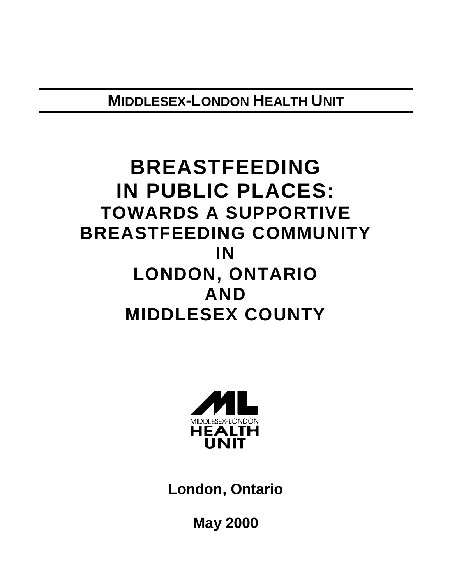# **BREASTFEEDING IN PUBLIC PLACES: TOWARDS A SUPPORTIVE BREASTFEEDING COMMUNITY IN LONDON, ONTARIO AND MIDDLESEX COUNTY**



**London, Ontario**

**May 2000**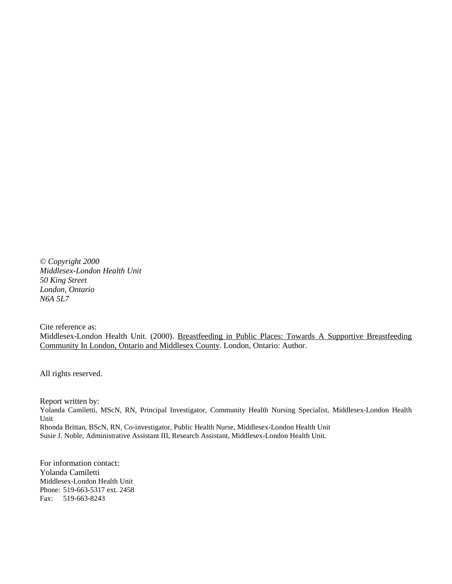© *Copyright 2000 Middlesex-London Health Unit 50 King Street London, Ontario N6A 5L7*

Cite reference as:

Middlesex-London Health Unit. (2000). Breastfeeding in Public Places: Towards A Supportive Breastfeeding Community In London, Ontario and Middlesex County. London, Ontario: Author.

All rights reserved.

Report written by: Yolanda Camiletti, MScN, RN, Principal Investigator, Community Health Nursing Specialist, Middlesex-London Health Unit Rhonda Brittan, BScN, RN, Co-investigator, Public Health Nurse, Middlesex-London Health Unit Susie J. Noble, Administrative Assistant III, Research Assistant, Middlesex-London Health Unit.

For information contact: Yolanda Camiletti Middlesex-London Health Unit Phone: 519-663-5317 ext. 2458 Fax: 519-663-8243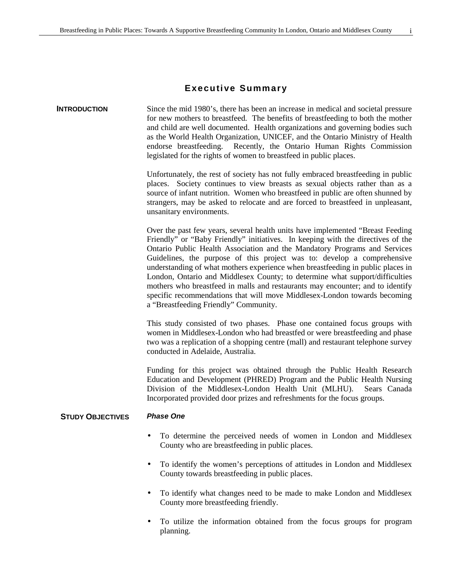**INTRODUCTION** Since the mid 1980's, there has been an increase in medical and societal pressure for new mothers to breastfeed. The benefits of breastfeeding to both the mother and child are well documented. Health organizations and governing bodies such as the World Health Organization, UNICEF, and the Ontario Ministry of Health endorse breastfeeding. Recently, the Ontario Human Rights Commission legislated for the rights of women to breastfeed in public places.

> Unfortunately, the rest of society has not fully embraced breastfeeding in public places. Society continues to view breasts as sexual objects rather than as a source of infant nutrition. Women who breastfeed in public are often shunned by strangers, may be asked to relocate and are forced to breastfeed in unpleasant, unsanitary environments.

> Over the past few years, several health units have implemented "Breast Feeding Friendly" or "Baby Friendly" initiatives. In keeping with the directives of the Ontario Public Health Association and the Mandatory Programs and Services Guidelines, the purpose of this project was to: develop a comprehensive understanding of what mothers experience when breastfeeding in public places in London, Ontario and Middlesex County; to determine what support/difficulties mothers who breastfeed in malls and restaurants may encounter; and to identify specific recommendations that will move Middlesex-London towards becoming a "Breastfeeding Friendly" Community.

> This study consisted of two phases. Phase one contained focus groups with women in Middlesex-London who had breastfed or were breastfeeding and phase two was a replication of a shopping centre (mall) and restaurant telephone survey conducted in Adelaide, Australia.

> Funding for this project was obtained through the Public Health Research Education and Development (PHRED) Program and the Public Health Nursing Division of the Middlesex-London Health Unit (MLHU). Sears Canada Incorporated provided door prizes and refreshments for the focus groups.

#### **STUDY OBJECTIVES** *Phase One*

- To determine the perceived needs of women in London and Middlesex County who are breastfeeding in public places.
- To identify the women's perceptions of attitudes in London and Middlesex County towards breastfeeding in public places.
- To identify what changes need to be made to make London and Middlesex County more breastfeeding friendly.
- To utilize the information obtained from the focus groups for program planning.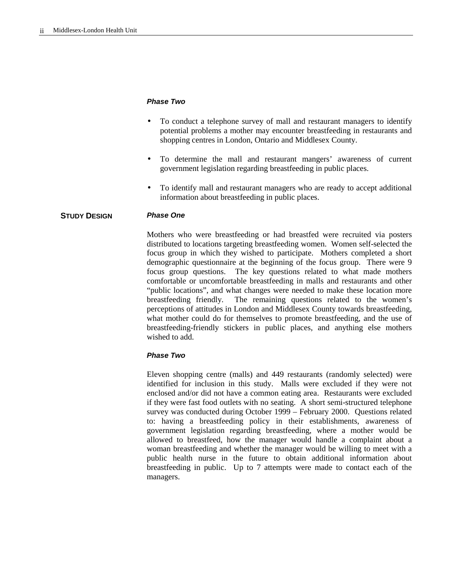#### *Phase Two*

- To conduct a telephone survey of mall and restaurant managers to identify potential problems a mother may encounter breastfeeding in restaurants and shopping centres in London, Ontario and Middlesex County.
- To determine the mall and restaurant mangers' awareness of current government legislation regarding breastfeeding in public places.
- To identify mall and restaurant managers who are ready to accept additional information about breastfeeding in public places.

#### **STUDY DESIGN** *Phase One*

Mothers who were breastfeeding or had breastfed were recruited via posters distributed to locations targeting breastfeeding women. Women self-selected the focus group in which they wished to participate. Mothers completed a short demographic questionnaire at the beginning of the focus group. There were 9 focus group questions. The key questions related to what made mothers comfortable or uncomfortable breastfeeding in malls and restaurants and other "public locations", and what changes were needed to make these location more breastfeeding friendly. The remaining questions related to the women's perceptions of attitudes in London and Middlesex County towards breastfeeding, what mother could do for themselves to promote breastfeeding, and the use of breastfeeding-friendly stickers in public places, and anything else mothers wished to add.

#### *Phase Two*

Eleven shopping centre (malls) and 449 restaurants (randomly selected) were identified for inclusion in this study. Malls were excluded if they were not enclosed and/or did not have a common eating area. Restaurants were excluded if they were fast food outlets with no seating. A short semi-structured telephone survey was conducted during October 1999 – February 2000. Questions related to: having a breastfeeding policy in their establishments, awareness of government legislation regarding breastfeeding, where a mother would be allowed to breastfeed, how the manager would handle a complaint about a woman breastfeeding and whether the manager would be willing to meet with a public health nurse in the future to obtain additional information about breastfeeding in public. Up to 7 attempts were made to contact each of the managers.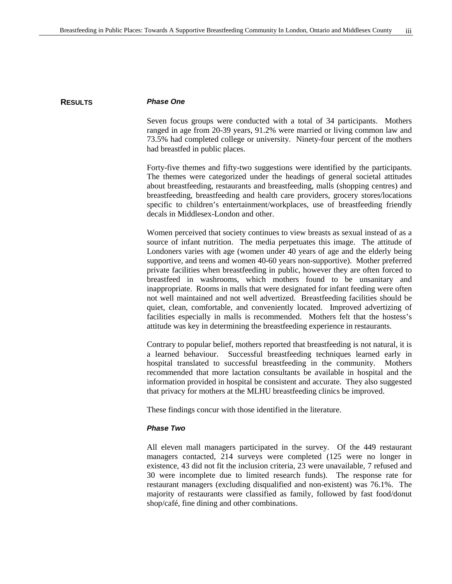#### **RESULTS** *Phase One*

Seven focus groups were conducted with a total of 34 participants. Mothers ranged in age from 20-39 years, 91.2% were married or living common law and 73.5% had completed college or university. Ninety-four percent of the mothers had breastfed in public places.

Forty-five themes and fifty-two suggestions were identified by the participants. The themes were categorized under the headings of general societal attitudes about breastfeeding, restaurants and breastfeeding, malls (shopping centres) and breastfeeding, breastfeeding and health care providers, grocery stores/locations specific to children's entertainment/workplaces, use of breastfeeding friendly decals in Middlesex-London and other.

Women perceived that society continues to view breasts as sexual instead of as a source of infant nutrition. The media perpetuates this image. The attitude of Londoners varies with age (women under 40 years of age and the elderly being supportive, and teens and women 40-60 years non-supportive). Mother preferred private facilities when breastfeeding in public, however they are often forced to breastfeed in washrooms, which mothers found to be unsanitary and inappropriate. Rooms in malls that were designated for infant feeding were often not well maintained and not well advertized. Breastfeeding facilities should be quiet, clean, comfortable, and conveniently located. Improved advertizing of facilities especially in malls is recommended. Mothers felt that the hostess's attitude was key in determining the breastfeeding experience in restaurants.

Contrary to popular belief, mothers reported that breastfeeding is not natural, it is a learned behaviour. Successful breastfeeding techniques learned early in hospital translated to successful breastfeeding in the community. Mothers recommended that more lactation consultants be available in hospital and the information provided in hospital be consistent and accurate. They also suggested that privacy for mothers at the MLHU breastfeeding clinics be improved.

These findings concur with those identified in the literature.

#### *Phase Two*

All eleven mall managers participated in the survey. Of the 449 restaurant managers contacted, 214 surveys were completed (125 were no longer in existence, 43 did not fit the inclusion criteria, 23 were unavailable, 7 refused and 30 were incomplete due to limited research funds). The response rate for restaurant managers (excluding disqualified and non-existent) was 76.1%. The majority of restaurants were classified as family, followed by fast food/donut shop/café, fine dining and other combinations.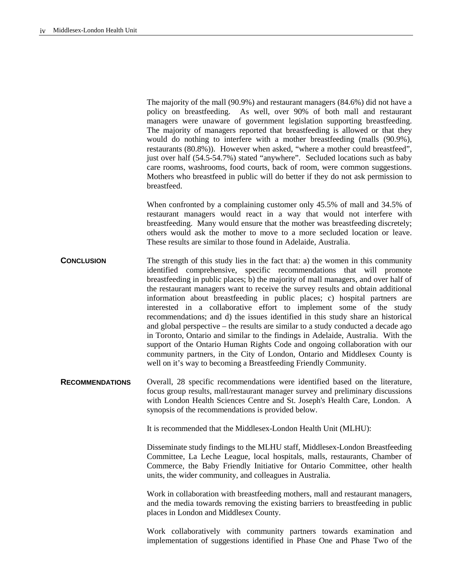The majority of the mall (90.9%) and restaurant managers (84.6%) did not have a policy on breastfeeding. As well, over 90% of both mall and restaurant managers were unaware of government legislation supporting breastfeeding. The majority of managers reported that breastfeeding is allowed or that they would do nothing to interfere with a mother breastfeeding (malls (90.9%), restaurants (80.8%)). However when asked, "where a mother could breastfeed", just over half (54.5-54.7%) stated "anywhere". Secluded locations such as baby care rooms, washrooms, food courts, back of room, were common suggestions. Mothers who breastfeed in public will do better if they do not ask permission to breastfeed.

When confronted by a complaining customer only 45.5% of mall and 34.5% of restaurant managers would react in a way that would not interfere with breastfeeding. Many would ensure that the mother was breastfeeding discretely; others would ask the mother to move to a more secluded location or leave. These results are similar to those found in Adelaide, Australia.

- **CONCLUSION** The strength of this study lies in the fact that: a) the women in this community identified comprehensive, specific recommendations that will promote breastfeeding in public places; b) the majority of mall managers, and over half of the restaurant managers want to receive the survey results and obtain additional information about breastfeeding in public places; c) hospital partners are interested in a collaborative effort to implement some of the study recommendations; and d) the issues identified in this study share an historical and global perspective – the results are similar to a study conducted a decade ago in Toronto, Ontario and similar to the findings in Adelaide, Australia. With the support of the Ontario Human Rights Code and ongoing collaboration with our community partners, in the City of London, Ontario and Middlesex County is well on it's way to becoming a Breastfeeding Friendly Community.
- **RECOMMENDATIONS** Overall, 28 specific recommendations were identified based on the literature, focus group results, mall/restaurant manager survey and preliminary discussions with London Health Sciences Centre and St. Joseph's Health Care, London. A synopsis of the recommendations is provided below.

It is recommended that the Middlesex-London Health Unit (MLHU):

Disseminate study findings to the MLHU staff, Middlesex-London Breastfeeding Committee, La Leche League, local hospitals, malls, restaurants, Chamber of Commerce, the Baby Friendly Initiative for Ontario Committee, other health units, the wider community, and colleagues in Australia.

Work in collaboration with breastfeeding mothers, mall and restaurant managers, and the media towards removing the existing barriers to breastfeeding in public places in London and Middlesex County.

Work collaboratively with community partners towards examination and implementation of suggestions identified in Phase One and Phase Two of the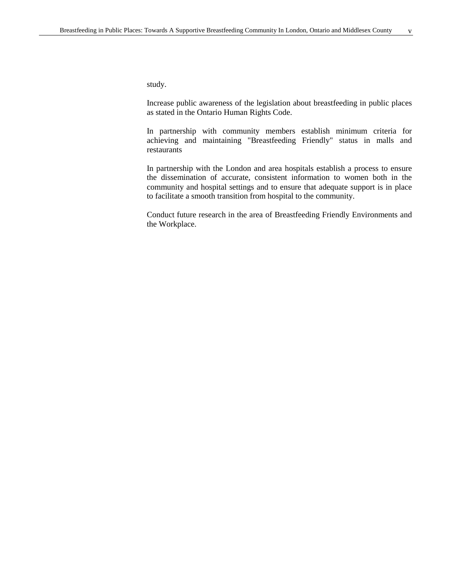study.

Increase public awareness of the legislation about breastfeeding in public places as stated in the Ontario Human Rights Code.

In partnership with community members establish minimum criteria for achieving and maintaining "Breastfeeding Friendly" status in malls and restaurants

In partnership with the London and area hospitals establish a process to ensure the dissemination of accurate, consistent information to women both in the community and hospital settings and to ensure that adequate support is in place to facilitate a smooth transition from hospital to the community.

Conduct future research in the area of Breastfeeding Friendly Environments and the Workplace.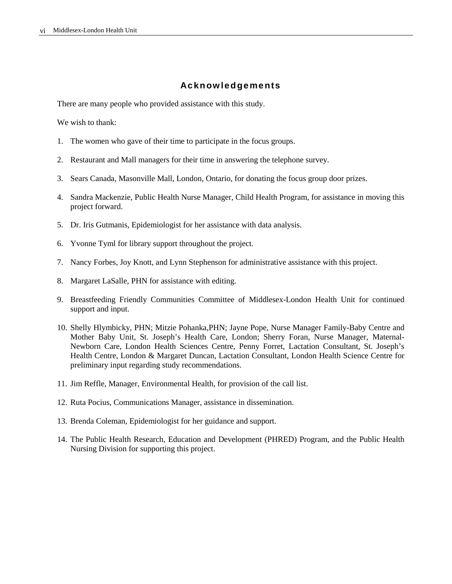### **Acknowledgements**

There are many people who provided assistance with this study.

We wish to thank:

- 1. The women who gave of their time to participate in the focus groups.
- 2. Restaurant and Mall managers for their time in answering the telephone survey.
- 3. Sears Canada, Masonville Mall, London, Ontario, for donating the focus group door prizes.
- 4. Sandra Mackenzie, Public Health Nurse Manager, Child Health Program, for assistance in moving this project forward.
- 5. Dr. Iris Gutmanis, Epidemiologist for her assistance with data analysis.
- 6. Yvonne Tyml for library support throughout the project.
- 7. Nancy Forbes, Joy Knott, and Lynn Stephenson for administrative assistance with this project.
- 8. Margaret LaSalle, PHN for assistance with editing.
- 9. Breastfeeding Friendly Communities Committee of Middlesex-London Health Unit for continued support and input.
- 10. Shelly Hlymbicky, PHN; Mitzie Pohanka,PHN; Jayne Pope, Nurse Manager Family-Baby Centre and Mother Baby Unit, St. Joseph's Health Care, London; Sherry Foran, Nurse Manager, Maternal-Newborn Care, London Health Sciences Centre, Penny Forret, Lactation Consultant, St. Joseph's Health Centre, London & Margaret Duncan, Lactation Consultant, London Health Science Centre for preliminary input regarding study recommendations.
- 11. Jim Reffle, Manager, Environmental Health, for provision of the call list.
- 12. Ruta Pocius, Communications Manager, assistance in dissemination.
- 13. Brenda Coleman, Epidemiologist for her guidance and support.
- 14. The Public Health Research, Education and Development (PHRED) Program, and the Public Health Nursing Division for supporting this project.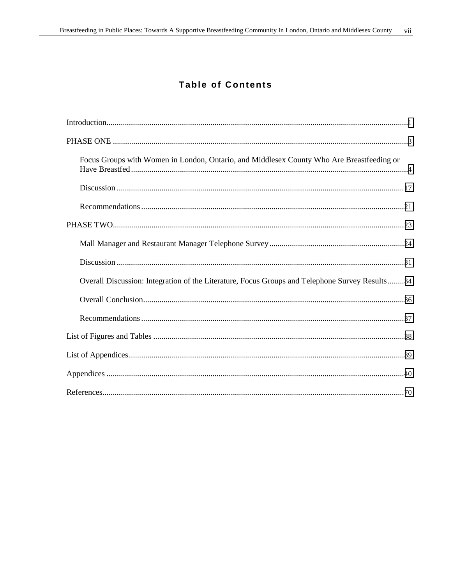### **Table of Contents**

| Focus Groups with Women in London, Ontario, and Middlesex County Who Are Breastfeeding or      |  |
|------------------------------------------------------------------------------------------------|--|
|                                                                                                |  |
|                                                                                                |  |
|                                                                                                |  |
|                                                                                                |  |
|                                                                                                |  |
| Overall Discussion: Integration of the Literature, Focus Groups and Telephone Survey Results34 |  |
|                                                                                                |  |
|                                                                                                |  |
|                                                                                                |  |
|                                                                                                |  |
|                                                                                                |  |
|                                                                                                |  |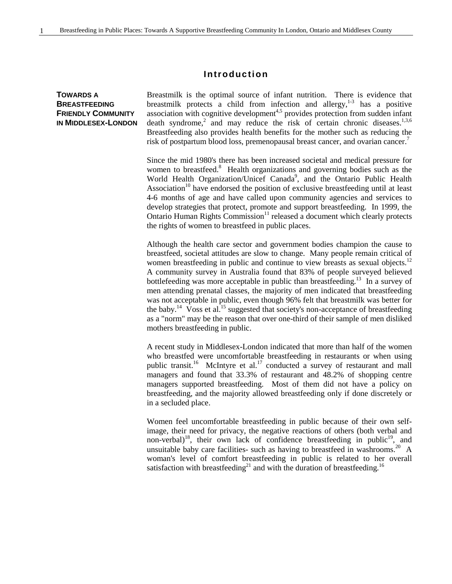#### **Introduction**

<span id="page-9-0"></span>**TOWARDS A BREASTFEEDING FRIENDLY COMMUNITY IN MIDDLESEX-LONDON** Breastmilk is the optimal source of infant nutrition. There is evidence that breastmilk protects a child from infection and allergy,  $13$  has a positive association with cognitive development<sup> $4,5$ </sup> provides protection from sudden infant death syndrome,<sup>2</sup> and may reduce the risk of certain chronic diseases.<sup>1,3,6</sup> Breastfeeding also provides health benefits for the mother such as reducing the risk of postpartum blood loss, premenopausal breast cancer, and ovarian cancer.<sup>7</sup>

Since the mid 1980's there has been increased societal and medical pressure for women to breastfeed.<sup>8</sup> Health organizations and governing bodies such as the World Health Organization/Unicef Canada<sup>9</sup>, and the Ontario Public Health Association<sup>10</sup> have endorsed the position of exclusive breastfeeding until at least 4-6 months of age and have called upon community agencies and services to develop strategies that protect, promote and support breastfeeding. In 1999, the Ontario Human Rights Commission<sup>11</sup> released a document which clearly protects the rights of women to breastfeed in public places.

Although the health care sector and government bodies champion the cause to breastfeed, societal attitudes are slow to change. Many people remain critical of women breastfeeding in public and continue to view breasts as sexual objects.<sup>12</sup> A community survey in Australia found that 83% of people surveyed believed bottlefeeding was more acceptable in public than breastfeeding.<sup>13</sup> In a survey of men attending prenatal classes, the majority of men indicated that breastfeeding was not acceptable in public, even though 96% felt that breastmilk was better for the baby.<sup>14</sup> Voss et al.<sup>15</sup> suggested that society's non-acceptance of breastfeeding as a "norm" may be the reason that over one-third of their sample of men disliked mothers breastfeeding in public.

A recent study in Middlesex-London indicated that more than half of the women who breastfed were uncomfortable breastfeeding in restaurants or when using public transit.<sup>16</sup> McIntyre et al.<sup>17</sup> conducted a survey of restaurant and mall managers and found that 33.3% of restaurant and 48.2% of shopping centre managers supported breastfeeding. Most of them did not have a policy on breastfeeding, and the majority allowed breastfeeding only if done discretely or in a secluded place.

Women feel uncomfortable breastfeeding in public because of their own selfimage, their need for privacy, the negative reactions of others (both verbal and non-verbal)<sup>18</sup>, their own lack of confidence breastfeeding in public<sup>19</sup>, and unsuitable baby care facilities- such as having to breastfeed in washrooms.<sup>20</sup> A woman's level of comfort breastfeeding in public is related to her overall satisfaction with breastfeeding $^{21}$  and with the duration of breastfeeding.<sup>16</sup>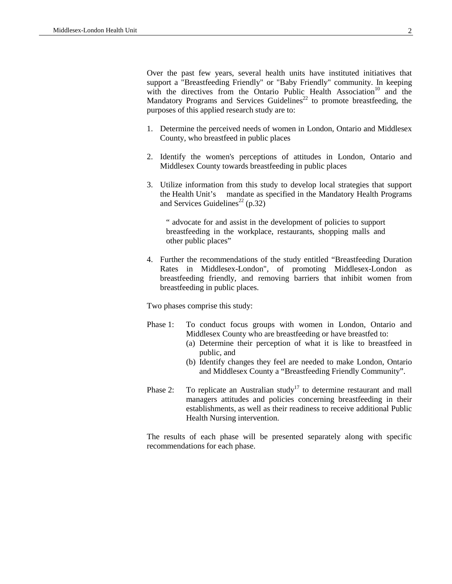Over the past few years, several health units have instituted initiatives that support a "Breastfeeding Friendly" or "Baby Friendly" community. In keeping with the directives from the Ontario Public Health Association<sup>10</sup> and the Mandatory Programs and Services Guidelines<sup>22</sup> to promote breastfeeding, the purposes of this applied research study are to:

- 1. Determine the perceived needs of women in London, Ontario and Middlesex County, who breastfeed in public places
- 2. Identify the women's perceptions of attitudes in London, Ontario and Middlesex County towards breastfeeding in public places
- 3. Utilize information from this study to develop local strategies that support the Health Unit's mandate as specified in the Mandatory Health Programs and Services Guidelines<sup>22</sup> (p.32)

" advocate for and assist in the development of policies to support breastfeeding in the workplace, restaurants, shopping malls and other public places"

4. Further the recommendations of the study entitled "Breastfeeding Duration Rates in Middlesex-London", of promoting Middlesex-London as breastfeeding friendly, and removing barriers that inhibit women from breastfeeding in public places.

Two phases comprise this study:

- Phase 1: To conduct focus groups with women in London, Ontario and Middlesex County who are breastfeeding or have breastfed to:
	- (a) Determine their perception of what it is like to breastfeed in public, and
	- (b) Identify changes they feel are needed to make London, Ontario and Middlesex County a "Breastfeeding Friendly Community".
- Phase 2: To replicate an Australian study<sup>17</sup> to determine restaurant and mall managers attitudes and policies concerning breastfeeding in their establishments, as well as their readiness to receive additional Public Health Nursing intervention.

The results of each phase will be presented separately along with specific recommendations for each phase.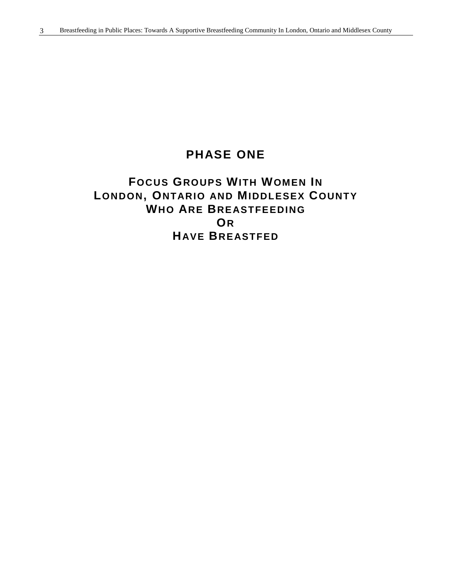## **PHASE ONE**

## <span id="page-11-0"></span>**FOCUS GROUPS WITH WOMEN IN LONDON, ONTARIO AND MIDDLESEX COUNTY WHO ARE BREASTFEEDING OR HAVE BREASTFED**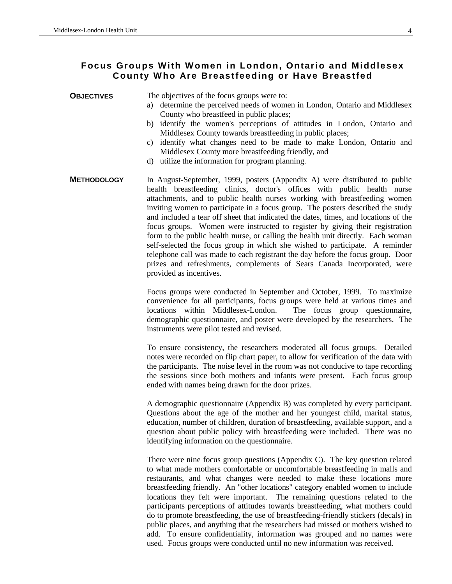### <span id="page-12-0"></span>**Focus Groups With Women in London, Ontario and Middlesex County Who Are Breastfeeding or Have Breastfed**

**OBJECTIVES** The objectives of the focus groups were to:

- a) determine the perceived needs of women in London, Ontario and Middlesex County who breastfeed in public places;
- b) identify the women's perceptions of attitudes in London, Ontario and Middlesex County towards breastfeeding in public places;
- c) identify what changes need to be made to make London, Ontario and Middlesex County more breastfeeding friendly, and
- d) utilize the information for program planning.
- **METHODOLOGY** In August-September, 1999, posters (Appendix A) were distributed to public health breastfeeding clinics, doctor's offices with public health nurse attachments, and to public health nurses working with breastfeeding women inviting women to participate in a focus group. The posters described the study and included a tear off sheet that indicated the dates, times, and locations of the focus groups. Women were instructed to register by giving their registration form to the public health nurse, or calling the health unit directly. Each woman self-selected the focus group in which she wished to participate. A reminder telephone call was made to each registrant the day before the focus group. Door prizes and refreshments, complements of Sears Canada Incorporated, were provided as incentives.

Focus groups were conducted in September and October, 1999. To maximize convenience for all participants, focus groups were held at various times and locations within Middlesex-London. The focus group questionnaire, demographic questionnaire, and poster were developed by the researchers. The instruments were pilot tested and revised.

To ensure consistency, the researchers moderated all focus groups. Detailed notes were recorded on flip chart paper, to allow for verification of the data with the participants. The noise level in the room was not conducive to tape recording the sessions since both mothers and infants were present. Each focus group ended with names being drawn for the door prizes.

A demographic questionnaire (Appendix B) was completed by every participant. Questions about the age of the mother and her youngest child, marital status, education, number of children, duration of breastfeeding, available support, and a question about public policy with breastfeeding were included. There was no identifying information on the questionnaire.

There were nine focus group questions (Appendix C). The key question related to what made mothers comfortable or uncomfortable breastfeeding in malls and restaurants, and what changes were needed to make these locations more breastfeeding friendly. An "other locations" category enabled women to include locations they felt were important. The remaining questions related to the participants perceptions of attitudes towards breastfeeding, what mothers could do to promote breastfeeding, the use of breastfeeding-friendly stickers (decals) in public places, and anything that the researchers had missed or mothers wished to add. To ensure confidentiality, information was grouped and no names were used. Focus groups were conducted until no new information was received.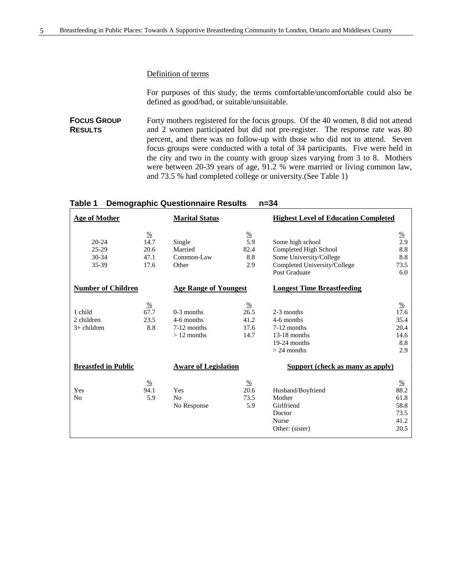#### Definition of terms

For purposes of this study, the terms comfortable/uncomfortable could also be defined as good/bad, or suitable/unsuitable.

**FOCUS GROUP RESULTS** Forty mothers registered for the focus groups. Of the 40 women, 8 did not attend and 2 women participated but did not pre-register. The response rate was 80 percent, and there was no follow-up with those who did not to attend. Seven focus groups were conducted with a total of 34 participants. Five were held in the city and two in the county with group sizes varying from 3 to 8. Mothers were between 20-39 years of age, 91.2 % were married or living common law, and 73.5 % had completed college or university.(See Table 1)

#### **Table 1 Demographic Questionnaire Results n=34**

| <b>Age of Mother</b>                                      |                       | <b>Marital Status</b>                   |                  | <b>Highest Level of Education Completed</b> |                  |
|-----------------------------------------------------------|-----------------------|-----------------------------------------|------------------|---------------------------------------------|------------------|
| $20-24$                                                   | $\frac{0}{2}$<br>14.7 | Single                                  | $\frac{\%}{5.9}$ | Some high school                            | $\frac{\%}{2.9}$ |
| 25-29                                                     | 20.6                  | Married                                 | 82.4             | Completed High School                       | 8.8              |
| $30-34$                                                   | 47.1                  | Common-Law                              | 8.8              | Some University/College                     | 8.8              |
| 35-39                                                     | 17.6                  | Other                                   | 2.9              | Completed University/College                | 73.5             |
|                                                           |                       |                                         |                  | Post Graduate                               | 6.0              |
| <b>Number of Children</b>                                 |                       | <b>Age Range of Youngest</b>            |                  | <b>Longest Time Breastfeeding</b>           |                  |
|                                                           | $\frac{0}{0}$         |                                         | $\%$             |                                             | $\frac{0}{0}$    |
| 1 child                                                   | 67.7                  | $0-3$ months                            | 26.5             | 2-3 months                                  | 17.6             |
| 2 children                                                | 23.5                  | 4-6 months                              | 41.2             | 4-6 months                                  | 35.4             |
| $3+$ children                                             | 8.8                   | 7-12 months                             | 17.6             | 7-12 months                                 | 20.4             |
|                                                           |                       | $>12$ months                            | 14.7             | $13-18$ months                              | 14.6             |
|                                                           |                       |                                         |                  | 19-24 months                                | 8.8              |
|                                                           |                       |                                         |                  | $> 24$ months                               | 2.9              |
| <b>Breastfed in Public</b><br><b>Aware of Legislation</b> |                       | <b>Support (check as many as apply)</b> |                  |                                             |                  |
|                                                           | $\frac{0}{0}$         |                                         | %                |                                             | $\frac{0}{0}$    |
| Yes                                                       | 94.1                  | Yes                                     | 20.6             | Husband/Boyfriend                           | 88.2             |
| N <sub>0</sub>                                            | 5.9                   | N <sub>0</sub>                          | 73.5             | Mother                                      | 61.8             |
|                                                           |                       | No Response                             | 5.9              | Girlfriend                                  | 58.8             |
|                                                           |                       |                                         |                  | Doctor                                      | 73.5             |
|                                                           |                       |                                         |                  | <b>Nurse</b>                                | 41.2             |
|                                                           |                       |                                         |                  | Other: (sister)                             | 20.5             |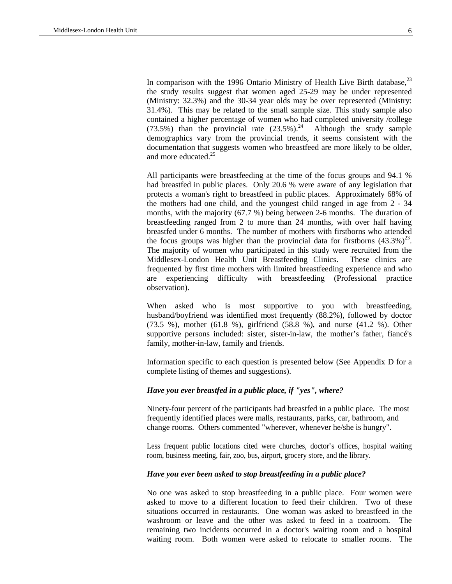In comparison with the 1996 Ontario Ministry of Health Live Birth database,  $^{23}$ the study results suggest that women aged 25-29 may be under represented (Ministry: 32.3%) and the 30-34 year olds may be over represented (Ministry: 31.4%). This may be related to the small sample size. This study sample also contained a higher percentage of women who had completed university /college (73.5%) than the provincial rate  $(23.5\%)$ .<sup>24</sup> Although the study sample demographics vary from the provincial trends, it seems consistent with the documentation that suggests women who breastfeed are more likely to be older, and more educated.<sup>25</sup>

All participants were breastfeeding at the time of the focus groups and 94.1 % had breastfed in public places. Only 20.6 % were aware of any legislation that protects a woman's right to breastfeed in public places. Approximately 68% of the mothers had one child, and the youngest child ranged in age from 2 - 34 months, with the majority (67.7 %) being between 2-6 months. The duration of breastfeeding ranged from 2 to more than 24 months, with over half having breastfed under 6 months. The number of mothers with firstborns who attended the focus groups was higher than the provincial data for firstborns  $(43.3\%)^{23}$ . The majority of women who participated in this study were recruited from the Middlesex-London Health Unit Breastfeeding Clinics. These clinics are frequented by first time mothers with limited breastfeeding experience and who are experiencing difficulty with breastfeeding (Professional practice observation).

When asked who is most supportive to you with breastfeeding, husband/boyfriend was identified most frequently (88.2%), followed by doctor (73.5 %), mother (61.8 %), girlfriend (58.8 %), and nurse (41.2 %). Other supportive persons included: sister, sister-in-law, the mother's father, fiancé's family, mother-in-law, family and friends.

Information specific to each question is presented below (See Appendix D for a complete listing of themes and suggestions).

#### *Have you ever breastfed in a public place, if "yes", where?*

Ninety-four percent of the participants had breastfed in a public place. The most frequently identified places were malls, restaurants, parks, car, bathroom, and change rooms. Others commented "wherever, whenever he/she is hungry".

Less frequent public locations cited were churches, doctor's offices, hospital waiting room, business meeting, fair, zoo, bus, airport, grocery store, and the library.

#### *Have you ever been asked to stop breastfeeding in a public place?*

No one was asked to stop breastfeeding in a public place. Four women were asked to move to a different location to feed their children. Two of these situations occurred in restaurants. One woman was asked to breastfeed in the washroom or leave and the other was asked to feed in a coatroom. The remaining two incidents occurred in a doctor's waiting room and a hospital waiting room. Both women were asked to relocate to smaller rooms. The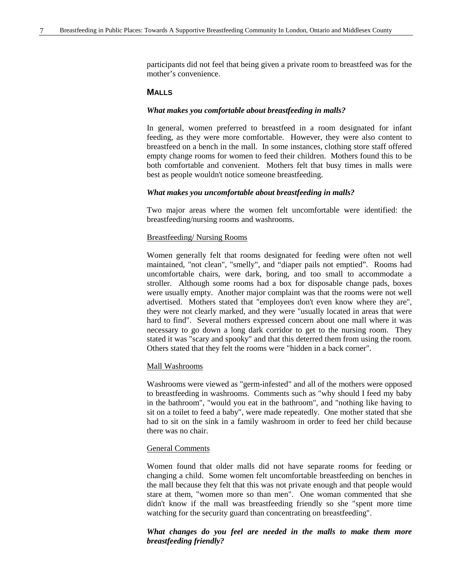participants did not feel that being given a private room to breastfeed was for the mother's convenience.

#### **MALLS**

#### *What makes you comfortable about breastfeeding in malls?*

In general, women preferred to breastfeed in a room designated for infant feeding, as they were more comfortable. However, they were also content to breastfeed on a bench in the mall. In some instances, clothing store staff offered empty change rooms for women to feed their children. Mothers found this to be both comfortable and convenient. Mothers felt that busy times in malls were best as people wouldn't notice someone breastfeeding.

#### *What makes you uncomfortable about breastfeeding in malls?*

Two major areas where the women felt uncomfortable were identified: the breastfeeding/nursing rooms and washrooms.

#### Breastfeeding/ Nursing Rooms

Women generally felt that rooms designated for feeding were often not well maintained, "not clean", "smelly", and "diaper pails not emptied". Rooms had uncomfortable chairs, were dark, boring, and too small to accommodate a stroller. Although some rooms had a box for disposable change pads, boxes were usually empty. Another major complaint was that the rooms were not well advertised. Mothers stated that "employees don't even know where they are", they were not clearly marked, and they were "usually located in areas that were hard to find". Several mothers expressed concern about one mall where it was necessary to go down a long dark corridor to get to the nursing room. They stated it was "scary and spooky" and that this deterred them from using the room. Others stated that they felt the rooms were "hidden in a back corner".

#### Mall Washrooms

Washrooms were viewed as "germ-infested" and all of the mothers were opposed to breastfeeding in washrooms. Comments such as "why should I feed my baby in the bathroom", "would you eat in the bathroom", and "nothing like having to sit on a toilet to feed a baby", were made repeatedly. One mother stated that she had to sit on the sink in a family washroom in order to feed her child because there was no chair.

#### General Comments

Women found that older malls did not have separate rooms for feeding or changing a child. Some women felt uncomfortable breastfeeding on benches in the mall because they felt that this was not private enough and that people would stare at them, "women more so than men". One woman commented that she didn't know if the mall was breastfeeding friendly so she "spent more time watching for the security guard than concentrating on breastfeeding".

#### *What changes do you feel are needed in the malls to make them more breastfeeding friendly?*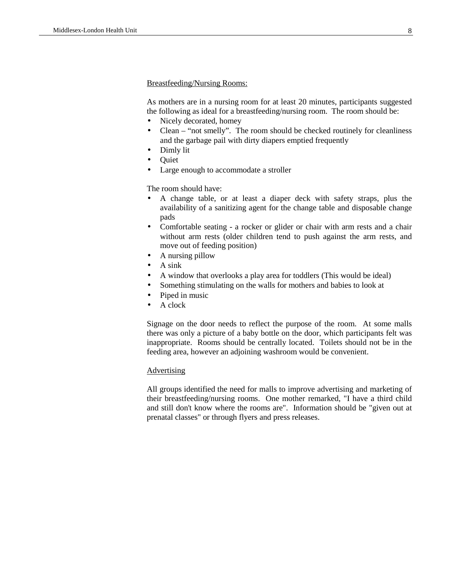#### Breastfeeding/Nursing Rooms:

As mothers are in a nursing room for at least 20 minutes, participants suggested the following as ideal for a breastfeeding/nursing room. The room should be:

- Nicely decorated, homey
- Clean "not smelly". The room should be checked routinely for cleanliness and the garbage pail with dirty diapers emptied frequently
- Dimly lit
- Quiet
- Large enough to accommodate a stroller

The room should have:

- A change table, or at least a diaper deck with safety straps, plus the availability of a sanitizing agent for the change table and disposable change pads
- Comfortable seating a rocker or glider or chair with arm rests and a chair without arm rests (older children tend to push against the arm rests, and move out of feeding position)
- A nursing pillow
- A sink
- A window that overlooks a play area for toddlers (This would be ideal)
- Something stimulating on the walls for mothers and babies to look at
- Piped in music
- A clock

Signage on the door needs to reflect the purpose of the room. At some malls there was only a picture of a baby bottle on the door, which participants felt was inappropriate. Rooms should be centrally located. Toilets should not be in the feeding area, however an adjoining washroom would be convenient.

#### **Advertising**

All groups identified the need for malls to improve advertising and marketing of their breastfeeding/nursing rooms. One mother remarked, "I have a third child and still don't know where the rooms are". Information should be "given out at prenatal classes" or through flyers and press releases.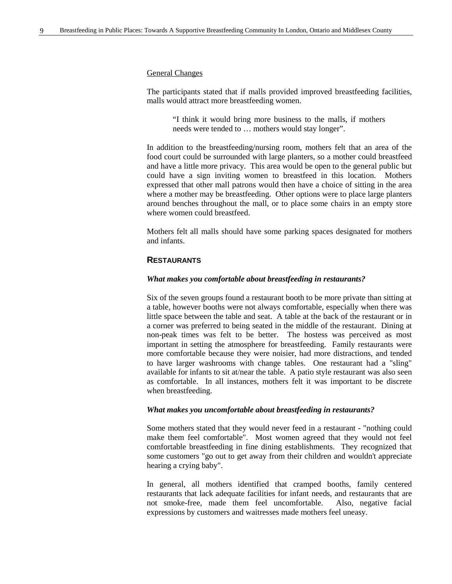#### General Changes

The participants stated that if malls provided improved breastfeeding facilities, malls would attract more breastfeeding women.

"I think it would bring more business to the malls, if mothers needs were tended to … mothers would stay longer".

In addition to the breastfeeding/nursing room, mothers felt that an area of the food court could be surrounded with large planters, so a mother could breastfeed and have a little more privacy. This area would be open to the general public but could have a sign inviting women to breastfeed in this location. Mothers expressed that other mall patrons would then have a choice of sitting in the area where a mother may be breastfeeding. Other options were to place large planters around benches throughout the mall, or to place some chairs in an empty store where women could breastfeed.

Mothers felt all malls should have some parking spaces designated for mothers and infants.

#### **RESTAURANTS**

#### *What makes you comfortable about breastfeeding in restaurants?*

Six of the seven groups found a restaurant booth to be more private than sitting at a table, however booths were not always comfortable, especially when there was little space between the table and seat. A table at the back of the restaurant or in a corner was preferred to being seated in the middle of the restaurant. Dining at non-peak times was felt to be better. The hostess was perceived as most important in setting the atmosphere for breastfeeding. Family restaurants were more comfortable because they were noisier, had more distractions, and tended to have larger washrooms with change tables. One restaurant had a "sling" available for infants to sit at/near the table. A patio style restaurant was also seen as comfortable. In all instances, mothers felt it was important to be discrete when breastfeeding.

#### *What makes you uncomfortable about breastfeeding in restaurants?*

Some mothers stated that they would never feed in a restaurant - "nothing could make them feel comfortable". Most women agreed that they would not feel comfortable breastfeeding in fine dining establishments. They recognized that some customers "go out to get away from their children and wouldn't appreciate hearing a crying baby".

In general, all mothers identified that cramped booths, family centered restaurants that lack adequate facilities for infant needs, and restaurants that are not smoke-free, made them feel uncomfortable. Also, negative facial expressions by customers and waitresses made mothers feel uneasy.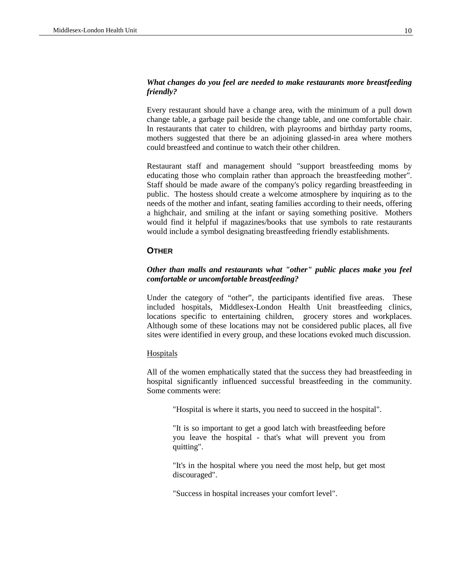#### *What changes do you feel are needed to make restaurants more breastfeeding friendly?*

Every restaurant should have a change area, with the minimum of a pull down change table, a garbage pail beside the change table, and one comfortable chair. In restaurants that cater to children, with playrooms and birthday party rooms, mothers suggested that there be an adjoining glassed-in area where mothers could breastfeed and continue to watch their other children.

Restaurant staff and management should "support breastfeeding moms by educating those who complain rather than approach the breastfeeding mother". Staff should be made aware of the company's policy regarding breastfeeding in public. The hostess should create a welcome atmosphere by inquiring as to the needs of the mother and infant, seating families according to their needs, offering a highchair, and smiling at the infant or saying something positive. Mothers would find it helpful if magazines/books that use symbols to rate restaurants would include a symbol designating breastfeeding friendly establishments.

#### **OTHER**

#### *Other than malls and restaurants what "other" public places make you feel comfortable or uncomfortable breastfeeding?*

Under the category of "other", the participants identified five areas. These included hospitals, Middlesex-London Health Unit breastfeeding clinics, locations specific to entertaining children, grocery stores and workplaces. Although some of these locations may not be considered public places, all five sites were identified in every group, and these locations evoked much discussion.

#### **Hospitals**

All of the women emphatically stated that the success they had breastfeeding in hospital significantly influenced successful breastfeeding in the community. Some comments were:

"Hospital is where it starts, you need to succeed in the hospital".

"It is so important to get a good latch with breastfeeding before you leave the hospital - that's what will prevent you from quitting".

"It's in the hospital where you need the most help, but get most discouraged".

"Success in hospital increases your comfort level".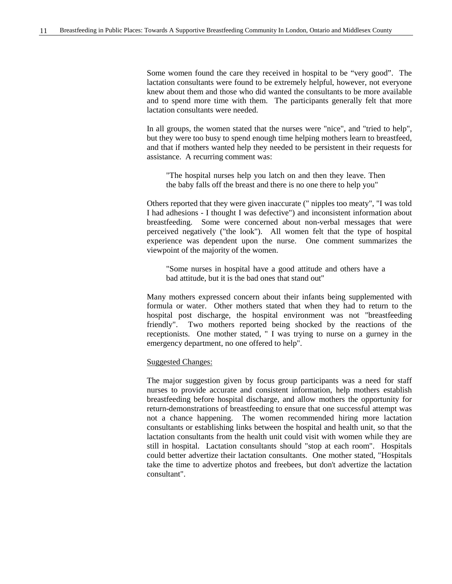Some women found the care they received in hospital to be "very good". The lactation consultants were found to be extremely helpful, however, not everyone knew about them and those who did wanted the consultants to be more available and to spend more time with them. The participants generally felt that more lactation consultants were needed.

In all groups, the women stated that the nurses were "nice", and "tried to help", but they were too busy to spend enough time helping mothers learn to breastfeed, and that if mothers wanted help they needed to be persistent in their requests for assistance. A recurring comment was:

"The hospital nurses help you latch on and then they leave. Then the baby falls off the breast and there is no one there to help you"

Others reported that they were given inaccurate (" nipples too meaty", "I was told I had adhesions - I thought I was defective") and inconsistent information about breastfeeding. Some were concerned about non-verbal messages that were perceived negatively ("the look"). All women felt that the type of hospital experience was dependent upon the nurse. One comment summarizes the viewpoint of the majority of the women.

"Some nurses in hospital have a good attitude and others have a bad attitude, but it is the bad ones that stand out"

Many mothers expressed concern about their infants being supplemented with formula or water. Other mothers stated that when they had to return to the hospital post discharge, the hospital environment was not "breastfeeding friendly". Two mothers reported being shocked by the reactions of the receptionists. One mother stated, " I was trying to nurse on a gurney in the emergency department, no one offered to help".

#### Suggested Changes:

The major suggestion given by focus group participants was a need for staff nurses to provide accurate and consistent information, help mothers establish breastfeeding before hospital discharge, and allow mothers the opportunity for return-demonstrations of breastfeeding to ensure that one successful attempt was not a chance happening. The women recommended hiring more lactation consultants or establishing links between the hospital and health unit, so that the lactation consultants from the health unit could visit with women while they are still in hospital. Lactation consultants should "stop at each room". Hospitals could better advertize their lactation consultants. One mother stated, "Hospitals take the time to advertize photos and freebees, but don't advertize the lactation consultant".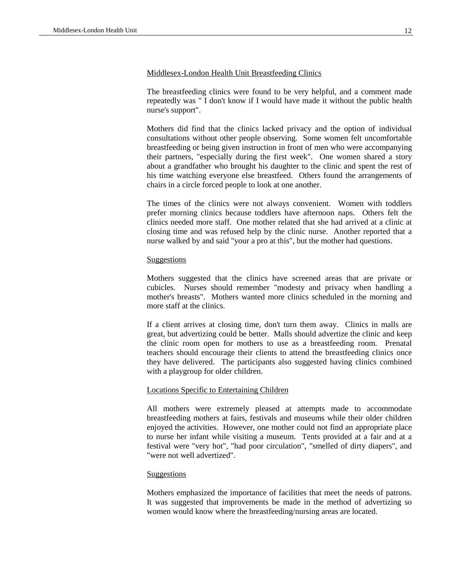#### Middlesex-London Health Unit Breastfeeding Clinics

The breastfeeding clinics were found to be very helpful, and a comment made repeatedly was " I don't know if I would have made it without the public health nurse's support".

Mothers did find that the clinics lacked privacy and the option of individual consultations without other people observing. Some women felt uncomfortable breastfeeding or being given instruction in front of men who were accompanying their partners, "especially during the first week". One women shared a story about a grandfather who brought his daughter to the clinic and spent the rest of his time watching everyone else breastfeed. Others found the arrangements of chairs in a circle forced people to look at one another.

The times of the clinics were not always convenient. Women with toddlers prefer morning clinics because toddlers have afternoon naps. Others felt the clinics needed more staff. One mother related that she had arrived at a clinic at closing time and was refused help by the clinic nurse. Another reported that a nurse walked by and said "your a pro at this", but the mother had questions.

#### Suggestions

Mothers suggested that the clinics have screened areas that are private or cubicles. Nurses should remember "modesty and privacy when handling a mother's breasts". Mothers wanted more clinics scheduled in the morning and more staff at the clinics.

If a client arrives at closing time, don't turn them away. Clinics in malls are great, but advertizing could be better. Malls should advertize the clinic and keep the clinic room open for mothers to use as a breastfeeding room. Prenatal teachers should encourage their clients to attend the breastfeeding clinics once they have delivered. The participants also suggested having clinics combined with a playgroup for older children.

#### Locations Specific to Entertaining Children

All mothers were extremely pleased at attempts made to accommodate breastfeeding mothers at fairs, festivals and museums while their older children enjoyed the activities. However, one mother could not find an appropriate place to nurse her infant while visiting a museum. Tents provided at a fair and at a festival were "very hot", "had poor circulation", "smelled of dirty diapers", and "were not well advertized".

#### Suggestions

Mothers emphasized the importance of facilities that meet the needs of patrons. It was suggested that improvements be made in the method of advertizing so women would know where the breastfeeding/nursing areas are located.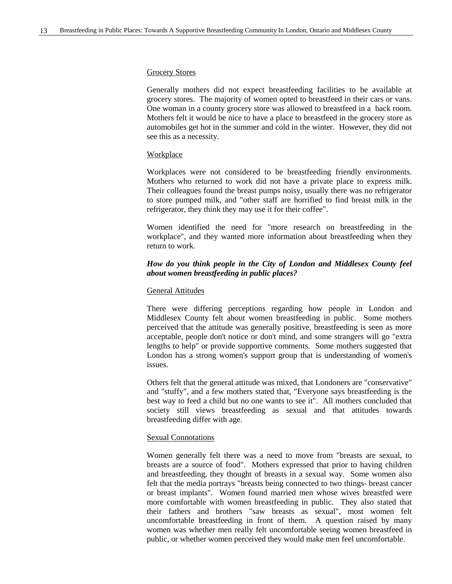#### Grocery Stores

Generally mothers did not expect breastfeeding facilities to be available at grocery stores. The majority of women opted to breastfeed in their cars or vans. One woman in a county grocery store was allowed to breastfeed in a back room. Mothers felt it would be nice to have a place to breastfeed in the grocery store as automobiles get hot in the summer and cold in the winter. However, they did not see this as a necessity.

#### Workplace

Workplaces were not considered to be breastfeeding friendly environments. Mothers who returned to work did not have a private place to express milk. Their colleagues found the breast pumps noisy, usually there was no refrigerator to store pumped milk, and "other staff are horrified to find breast milk in the refrigerator, they think they may use it for their coffee".

Women identified the need for "more research on breastfeeding in the workplace", and they wanted more information about breastfeeding when they return to work.

#### *How do you think people in the City of London and Middlesex County feel about women breastfeeding in public places?*

#### General Attitudes

There were differing perceptions regarding how people in London and Middlesex County felt about women breastfeeding in public. Some mothers perceived that the attitude was generally positive, breastfeeding is seen as more acceptable, people don't notice or don't mind, and some strangers will go "extra lengths to help" or provide supportive comments. Some mothers suggested that London has a strong women's support group that is understanding of women's issues.

Others felt that the general attitude was mixed, that Londoners are "conservative" and "stuffy", and a few mothers stated that, "Everyone says breastfeeding is the best way to feed a child but no one wants to see it". All mothers concluded that society still views breastfeeding as sexual and that attitudes towards breastfeeding differ with age.

#### Sexual Connotations

Women generally felt there was a need to move from "breasts are sexual, to breasts are a source of food". Mothers expressed that prior to having children and breastfeeding, they thought of breasts in a sexual way. Some women also felt that the media portrays "breasts being connected to two things- breast cancer or breast implants". Women found married men whose wives breastfed were more comfortable with women breastfeeding in public. They also stated that their fathers and brothers "saw breasts as sexual", most women felt uncomfortable breastfeeding in front of them. A question raised by many women was whether men really felt uncomfortable seeing women breastfeed in public, or whether women perceived they would make men feel uncomfortable.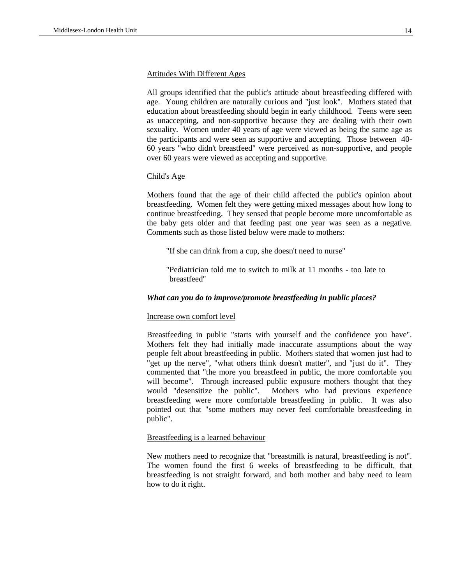#### Attitudes With Different Ages

All groups identified that the public's attitude about breastfeeding differed with age. Young children are naturally curious and "just look". Mothers stated that education about breastfeeding should begin in early childhood. Teens were seen as unaccepting, and non-supportive because they are dealing with their own sexuality. Women under 40 years of age were viewed as being the same age as the participants and were seen as supportive and accepting. Those between 40- 60 years "who didn't breastfeed" were perceived as non-supportive, and people over 60 years were viewed as accepting and supportive.

#### Child's Age

Mothers found that the age of their child affected the public's opinion about breastfeeding. Women felt they were getting mixed messages about how long to continue breastfeeding. They sensed that people become more uncomfortable as the baby gets older and that feeding past one year was seen as a negative. Comments such as those listed below were made to mothers:

"If she can drink from a cup, she doesn't need to nurse"

"Pediatrician told me to switch to milk at 11 months - too late to breastfeed"

#### *What can you do to improve/promote breastfeeding in public places?*

#### Increase own comfort level

Breastfeeding in public "starts with yourself and the confidence you have". Mothers felt they had initially made inaccurate assumptions about the way people felt about breastfeeding in public. Mothers stated that women just had to "get up the nerve", "what others think doesn't matter", and "just do it". They commented that "the more you breastfeed in public, the more comfortable you will become". Through increased public exposure mothers thought that they would "desensitize the public". Mothers who had previous experience breastfeeding were more comfortable breastfeeding in public. It was also pointed out that "some mothers may never feel comfortable breastfeeding in public".

#### Breastfeeding is a learned behaviour

New mothers need to recognize that "breastmilk is natural, breastfeeding is not". The women found the first 6 weeks of breastfeeding to be difficult, that breastfeeding is not straight forward, and both mother and baby need to learn how to do it right.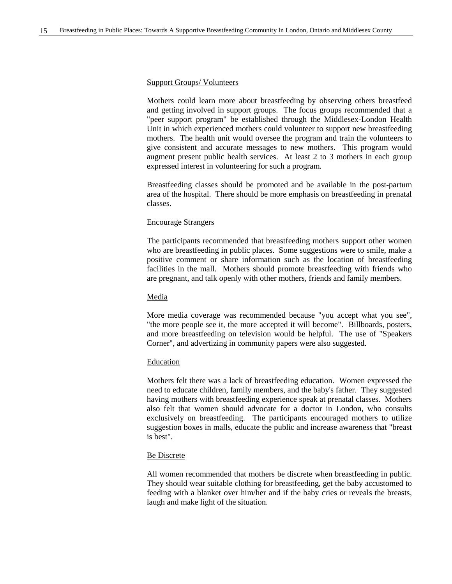#### Support Groups/ Volunteers

Mothers could learn more about breastfeeding by observing others breastfeed and getting involved in support groups. The focus groups recommended that a "peer support program" be established through the Middlesex-London Health Unit in which experienced mothers could volunteer to support new breastfeeding mothers. The health unit would oversee the program and train the volunteers to give consistent and accurate messages to new mothers. This program would augment present public health services. At least 2 to 3 mothers in each group expressed interest in volunteering for such a program.

Breastfeeding classes should be promoted and be available in the post-partum area of the hospital. There should be more emphasis on breastfeeding in prenatal classes.

#### Encourage Strangers

The participants recommended that breastfeeding mothers support other women who are breastfeeding in public places. Some suggestions were to smile, make a positive comment or share information such as the location of breastfeeding facilities in the mall. Mothers should promote breastfeeding with friends who are pregnant, and talk openly with other mothers, friends and family members.

#### Media

More media coverage was recommended because "you accept what you see", "the more people see it, the more accepted it will become". Billboards, posters, and more breastfeeding on television would be helpful. The use of "Speakers Corner", and advertizing in community papers were also suggested.

#### Education

Mothers felt there was a lack of breastfeeding education. Women expressed the need to educate children, family members, and the baby's father. They suggested having mothers with breastfeeding experience speak at prenatal classes. Mothers also felt that women should advocate for a doctor in London, who consults exclusively on breastfeeding. The participants encouraged mothers to utilize suggestion boxes in malls, educate the public and increase awareness that "breast is best".

#### Be Discrete

All women recommended that mothers be discrete when breastfeeding in public. They should wear suitable clothing for breastfeeding, get the baby accustomed to feeding with a blanket over him/her and if the baby cries or reveals the breasts, laugh and make light of the situation.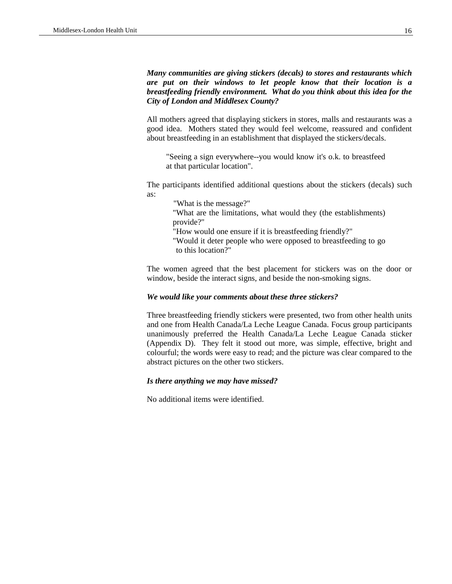*Many communities are giving stickers (decals) to stores and restaurants which are put on their windows to let people know that their location is a breastfeeding friendly environment. What do you think about this idea for the City of London and Middlesex County?*

All mothers agreed that displaying stickers in stores, malls and restaurants was a good idea. Mothers stated they would feel welcome, reassured and confident about breastfeeding in an establishment that displayed the stickers/decals.

"Seeing a sign everywhere--you would know it's o.k. to breastfeed at that particular location".

The participants identified additional questions about the stickers (decals) such as:

> "What is the message?" "What are the limitations, what would they (the establishments) provide?" "How would one ensure if it is breastfeeding friendly?"

> "Would it deter people who were opposed to breastfeeding to go to this location?"

The women agreed that the best placement for stickers was on the door or window, beside the interact signs, and beside the non-smoking signs.

#### *We would like your comments about these three stickers?*

Three breastfeeding friendly stickers were presented, two from other health units and one from Health Canada/La Leche League Canada. Focus group participants unanimously preferred the Health Canada/La Leche League Canada sticker (Appendix D). They felt it stood out more, was simple, effective, bright and colourful; the words were easy to read; and the picture was clear compared to the abstract pictures on the other two stickers.

#### *Is there anything we may have missed?*

No additional items were identified.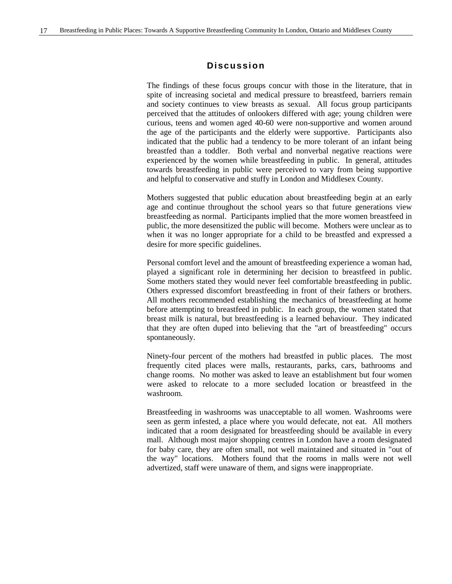#### **Discussion**

<span id="page-25-0"></span>The findings of these focus groups concur with those in the literature, that in spite of increasing societal and medical pressure to breastfeed, barriers remain and society continues to view breasts as sexual. All focus group participants perceived that the attitudes of onlookers differed with age; young children were curious, teens and women aged 40-60 were non-supportive and women around the age of the participants and the elderly were supportive. Participants also indicated that the public had a tendency to be more tolerant of an infant being breastfed than a toddler. Both verbal and nonverbal negative reactions were experienced by the women while breastfeeding in public. In general, attitudes towards breastfeeding in public were perceived to vary from being supportive and helpful to conservative and stuffy in London and Middlesex County.

Mothers suggested that public education about breastfeeding begin at an early age and continue throughout the school years so that future generations view breastfeeding as normal. Participants implied that the more women breastfeed in public, the more desensitized the public will become. Mothers were unclear as to when it was no longer appropriate for a child to be breastfed and expressed a desire for more specific guidelines.

Personal comfort level and the amount of breastfeeding experience a woman had, played a significant role in determining her decision to breastfeed in public. Some mothers stated they would never feel comfortable breastfeeding in public. Others expressed discomfort breastfeeding in front of their fathers or brothers. All mothers recommended establishing the mechanics of breastfeeding at home before attempting to breastfeed in public. In each group, the women stated that breast milk is natural, but breastfeeding is a learned behaviour. They indicated that they are often duped into believing that the "art of breastfeeding" occurs spontaneously.

Ninety-four percent of the mothers had breastfed in public places. The most frequently cited places were malls, restaurants, parks, cars, bathrooms and change rooms. No mother was asked to leave an establishment but four women were asked to relocate to a more secluded location or breastfeed in the washroom.

Breastfeeding in washrooms was unacceptable to all women. Washrooms were seen as germ infested, a place where you would defecate, not eat. All mothers indicated that a room designated for breastfeeding should be available in every mall. Although most major shopping centres in London have a room designated for baby care, they are often small, not well maintained and situated in "out of the way" locations. Mothers found that the rooms in malls were not well advertized, staff were unaware of them, and signs were inappropriate.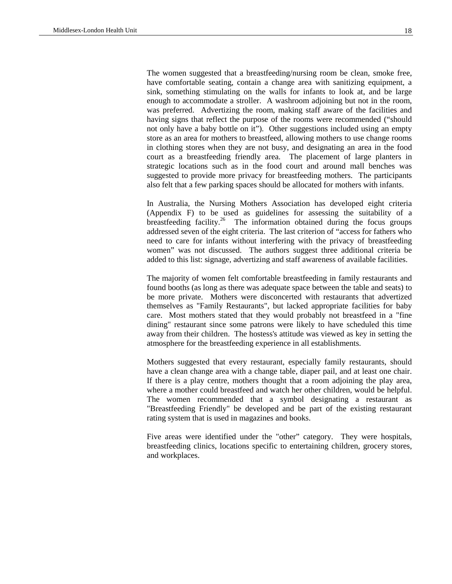The women suggested that a breastfeeding/nursing room be clean, smoke free, have comfortable seating, contain a change area with sanitizing equipment, a sink, something stimulating on the walls for infants to look at, and be large enough to accommodate a stroller. A washroom adjoining but not in the room, was preferred. Advertizing the room, making staff aware of the facilities and having signs that reflect the purpose of the rooms were recommended ("should not only have a baby bottle on it"). Other suggestions included using an empty store as an area for mothers to breastfeed, allowing mothers to use change rooms in clothing stores when they are not busy, and designating an area in the food

court as a breastfeeding friendly area. The placement of large planters in strategic locations such as in the food court and around mall benches was suggested to provide more privacy for breastfeeding mothers. The participants also felt that a few parking spaces should be allocated for mothers with infants.

In Australia, the Nursing Mothers Association has developed eight criteria (Appendix F) to be used as guidelines for assessing the suitability of a breastfeeding facility.<sup>26</sup> The information obtained during the focus groups addressed seven of the eight criteria. The last criterion of "access for fathers who need to care for infants without interfering with the privacy of breastfeeding women" was not discussed. The authors suggest three additional criteria be added to this list: signage, advertizing and staff awareness of available facilities.

The majority of women felt comfortable breastfeeding in family restaurants and found booths (as long as there was adequate space between the table and seats) to be more private. Mothers were disconcerted with restaurants that advertized themselves as "Family Restaurants", but lacked appropriate facilities for baby care. Most mothers stated that they would probably not breastfeed in a "fine dining" restaurant since some patrons were likely to have scheduled this time away from their children. The hostess's attitude was viewed as key in setting the atmosphere for the breastfeeding experience in all establishments.

Mothers suggested that every restaurant, especially family restaurants, should have a clean change area with a change table, diaper pail, and at least one chair. If there is a play centre, mothers thought that a room adjoining the play area, where a mother could breastfeed and watch her other children, would be helpful. The women recommended that a symbol designating a restaurant as "Breastfeeding Friendly" be developed and be part of the existing restaurant rating system that is used in magazines and books.

Five areas were identified under the "other" category. They were hospitals, breastfeeding clinics, locations specific to entertaining children, grocery stores, and workplaces.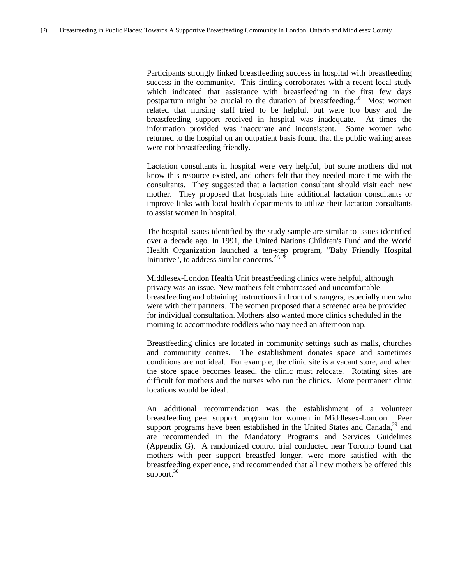Participants strongly linked breastfeeding success in hospital with breastfeeding success in the community. This finding corroborates with a recent local study which indicated that assistance with breastfeeding in the first few days postpartum might be crucial to the duration of breastfeeding.<sup>16</sup> Most women related that nursing staff tried to be helpful, but were too busy and the breastfeeding support received in hospital was inadequate. At times the information provided was inaccurate and inconsistent. Some women who returned to the hospital on an outpatient basis found that the public waiting areas were not breastfeeding friendly.

Lactation consultants in hospital were very helpful, but some mothers did not know this resource existed, and others felt that they needed more time with the consultants. They suggested that a lactation consultant should visit each new mother. They proposed that hospitals hire additional lactation consultants or improve links with local health departments to utilize their lactation consultants to assist women in hospital.

The hospital issues identified by the study sample are similar to issues identified over a decade ago. In 1991, the United Nations Children's Fund and the World Health Organization launched a ten-step program, "Baby Friendly Hospital Initiative", to address similar concerns.<sup>27, 28</sup>

Middlesex-London Health Unit breastfeeding clinics were helpful, although privacy was an issue. New mothers felt embarrassed and uncomfortable breastfeeding and obtaining instructions in front of strangers, especially men who were with their partners. The women proposed that a screened area be provided for individual consultation. Mothers also wanted more clinics scheduled in the morning to accommodate toddlers who may need an afternoon nap.

Breastfeeding clinics are located in community settings such as malls, churches and community centres. The establishment donates space and sometimes conditions are not ideal. For example, the clinic site is a vacant store, and when the store space becomes leased, the clinic must relocate. Rotating sites are difficult for mothers and the nurses who run the clinics. More permanent clinic locations would be ideal.

An additional recommendation was the establishment of a volunteer breastfeeding peer support program for women in Middlesex-London. Peer support programs have been established in the United States and Canada, $^{29}$  and are recommended in the Mandatory Programs and Services Guidelines (Appendix G). A randomized control trial conducted near Toronto found that mothers with peer support breastfed longer, were more satisfied with the breastfeeding experience, and recommended that all new mothers be offered this support. $30$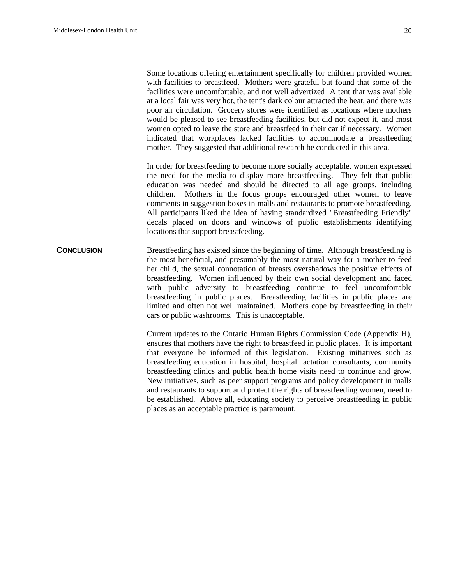Some locations offering entertainment specifically for children provided women with facilities to breastfeed. Mothers were grateful but found that some of the facilities were uncomfortable, and not well advertized A tent that was available at a local fair was very hot, the tent's dark colour attracted the heat, and there was poor air circulation. Grocery stores were identified as locations where mothers would be pleased to see breastfeeding facilities, but did not expect it, and most women opted to leave the store and breastfeed in their car if necessary. Women indicated that workplaces lacked facilities to accommodate a breastfeeding mother. They suggested that additional research be conducted in this area.

In order for breastfeeding to become more socially acceptable, women expressed the need for the media to display more breastfeeding. They felt that public education was needed and should be directed to all age groups, including children. Mothers in the focus groups encouraged other women to leave comments in suggestion boxes in malls and restaurants to promote breastfeeding. All participants liked the idea of having standardized "Breastfeeding Friendly" decals placed on doors and windows of public establishments identifying locations that support breastfeeding.

**CONCLUSION** Breastfeeding has existed since the beginning of time. Although breastfeeding is the most beneficial, and presumably the most natural way for a mother to feed her child, the sexual connotation of breasts overshadows the positive effects of breastfeeding. Women influenced by their own social development and faced with public adversity to breastfeeding continue to feel uncomfortable breastfeeding in public places. Breastfeeding facilities in public places are limited and often not well maintained. Mothers cope by breastfeeding in their cars or public washrooms. This is unacceptable.

> Current updates to the Ontario Human Rights Commission Code (Appendix H), ensures that mothers have the right to breastfeed in public places. It is important that everyone be informed of this legislation. Existing initiatives such as breastfeeding education in hospital, hospital lactation consultants, community breastfeeding clinics and public health home visits need to continue and grow. New initiatives, such as peer support programs and policy development in malls and restaurants to support and protect the rights of breastfeeding women, need to be established. Above all, educating society to perceive breastfeeding in public places as an acceptable practice is paramount.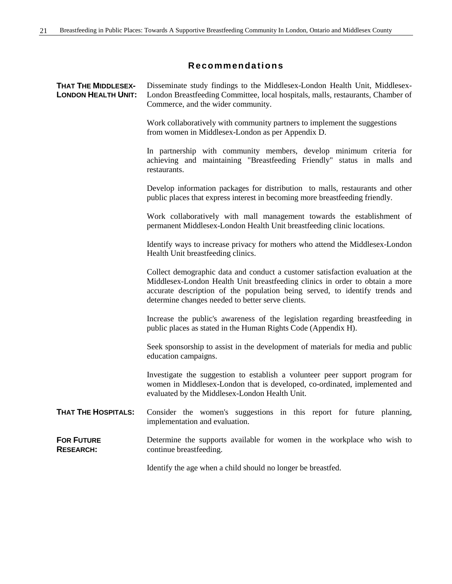#### **Recommendations**

<span id="page-29-0"></span>

| <b>THAT THE MIDDLESEX-</b><br><b>LONDON HEALTH UNIT:</b> | Disseminate study findings to the Middlesex-London Health Unit, Middlesex-<br>London Breastfeeding Committee, local hospitals, malls, restaurants, Chamber of<br>Commerce, and the wider community.                                                                                                |
|----------------------------------------------------------|----------------------------------------------------------------------------------------------------------------------------------------------------------------------------------------------------------------------------------------------------------------------------------------------------|
|                                                          | Work collaboratively with community partners to implement the suggestions<br>from women in Middlesex-London as per Appendix D.                                                                                                                                                                     |
|                                                          | In partnership with community members, develop minimum criteria for<br>achieving and maintaining "Breastfeeding Friendly" status in malls and<br>restaurants.                                                                                                                                      |
|                                                          | Develop information packages for distribution to malls, restaurants and other<br>public places that express interest in becoming more breastfeeding friendly.                                                                                                                                      |
|                                                          | Work collaboratively with mall management towards the establishment of<br>permanent Middlesex-London Health Unit breastfeeding clinic locations.                                                                                                                                                   |
|                                                          | Identify ways to increase privacy for mothers who attend the Middlesex-London<br>Health Unit breastfeeding clinics.                                                                                                                                                                                |
|                                                          | Collect demographic data and conduct a customer satisfaction evaluation at the<br>Middlesex-London Health Unit breastfeeding clinics in order to obtain a more<br>accurate description of the population being served, to identify trends and<br>determine changes needed to better serve clients. |
|                                                          | Increase the public's awareness of the legislation regarding breastfeeding in<br>public places as stated in the Human Rights Code (Appendix H).                                                                                                                                                    |
|                                                          | Seek sponsorship to assist in the development of materials for media and public<br>education campaigns.                                                                                                                                                                                            |
|                                                          | Investigate the suggestion to establish a volunteer peer support program for<br>women in Middlesex-London that is developed, co-ordinated, implemented and<br>evaluated by the Middlesex-London Health Unit.                                                                                       |
| <b>THAT THE HOSPITALS:</b>                               | Consider the women's suggestions in this report for future planning,<br>implementation and evaluation.                                                                                                                                                                                             |
| <b>FOR FUTURE</b><br><b>RESEARCH:</b>                    | Determine the supports available for women in the workplace who wish to<br>continue breastfeeding.                                                                                                                                                                                                 |
|                                                          | Identify the age when a child should no longer be breastfed.                                                                                                                                                                                                                                       |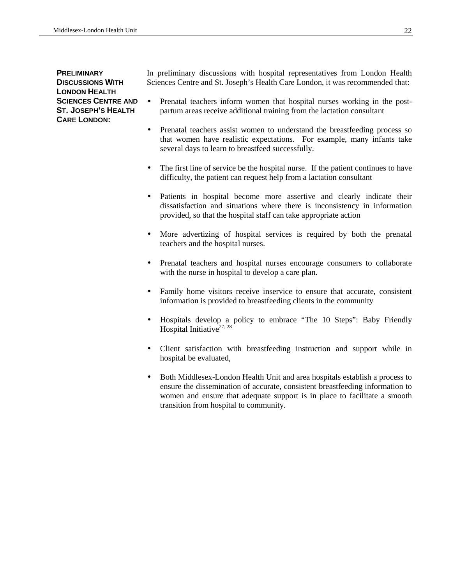**PRELIMINARY DISCUSSIONS WITH LONDON HEALTH SCIENCES CENTRE AND ST. JOSEPH'S HEALTH CARE LONDON:**

In preliminary discussions with hospital representatives from London Health Sciences Centre and St. Joseph's Health Care London, it was recommended that:

- Prenatal teachers inform women that hospital nurses working in the postpartum areas receive additional training from the lactation consultant
- Prenatal teachers assist women to understand the breastfeeding process so that women have realistic expectations. For example, many infants take several days to learn to breastfeed successfully.
- The first line of service be the hospital nurse. If the patient continues to have difficulty, the patient can request help from a lactation consultant
- Patients in hospital become more assertive and clearly indicate their dissatisfaction and situations where there is inconsistency in information provided, so that the hospital staff can take appropriate action
- More advertizing of hospital services is required by both the prenatal teachers and the hospital nurses.
- Prenatal teachers and hospital nurses encourage consumers to collaborate with the nurse in hospital to develop a care plan.
- Family home visitors receive inservice to ensure that accurate, consistent information is provided to breastfeeding clients in the community
- Hospitals develop a policy to embrace "The 10 Steps": Baby Friendly Hospital Initiative $27, 28$
- Client satisfaction with breastfeeding instruction and support while in hospital be evaluated,
- Both Middlesex-London Health Unit and area hospitals establish a process to ensure the dissemination of accurate, consistent breastfeeding information to women and ensure that adequate support is in place to facilitate a smooth transition from hospital to community.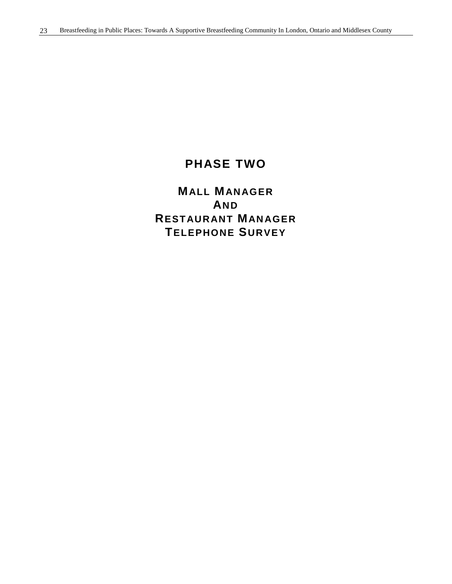### **PHASE TWO**

<span id="page-31-0"></span>**MALL MANAGER AND RESTAURANT MANAGER TELEPHONE SURVEY**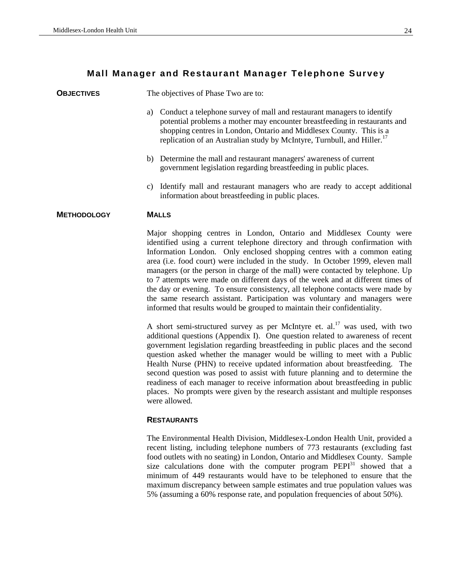<span id="page-32-0"></span>

| <b>OBJECTIVES</b>  | The objectives of Phase Two are to:                                                                                                                                                                                                                                                                                      |
|--------------------|--------------------------------------------------------------------------------------------------------------------------------------------------------------------------------------------------------------------------------------------------------------------------------------------------------------------------|
|                    | Conduct a telephone survey of mall and restaurant managers to identify<br>a)<br>potential problems a mother may encounter breastfeeding in restaurants and<br>shopping centres in London, Ontario and Middlesex County. This is a<br>replication of an Australian study by McIntyre, Turnbull, and Hiller. <sup>17</sup> |
|                    | Determine the mall and restaurant managers' awareness of current<br>b)<br>government legislation regarding breastfeeding in public places.                                                                                                                                                                               |
|                    | Identify mall and restaurant managers who are ready to accept additional<br>C)<br>information about breastfeeding in public places.                                                                                                                                                                                      |
| <b>METHODOLOGY</b> | <b>MALLS</b>                                                                                                                                                                                                                                                                                                             |
|                    | Major shopping centres in London, Ontario and Middlesex County were<br>identified using a current telephone directory and through confirmation with<br>Information London. Only enclosed shopping centres with a common eating<br>area (i.e. food court) were included in the study. In October 1999, eleven mall        |

managers (or the person in charge of the mall) were contacted by telephone. Up to 7 attempts were made on different days of the week and at different times of the day or evening. To ensure consistency, all telephone contacts were made by the same research assistant. Participation was voluntary and managers were informed that results would be grouped to maintain their confidentiality.

A short semi-structured survey as per McIntyre et.  $al.^{17}$  was used, with two additional questions (Appendix I). One question related to awareness of recent government legislation regarding breastfeeding in public places and the second question asked whether the manager would be willing to meet with a Public Health Nurse (PHN) to receive updated information about breastfeeding. The second question was posed to assist with future planning and to determine the readiness of each manager to receive information about breastfeeding in public places. No prompts were given by the research assistant and multiple responses were allowed.

#### **RESTAURANTS**

The Environmental Health Division, Middlesex-London Health Unit, provided a recent listing, including telephone numbers of 773 restaurants (excluding fast food outlets with no seating) in London, Ontario and Middlesex County. Sample size calculations done with the computer program  $PEPI<sup>31</sup>$  showed that a minimum of 449 restaurants would have to be telephoned to ensure that the maximum discrepancy between sample estimates and true population values was 5% (assuming a 60% response rate, and population frequencies of about 50%).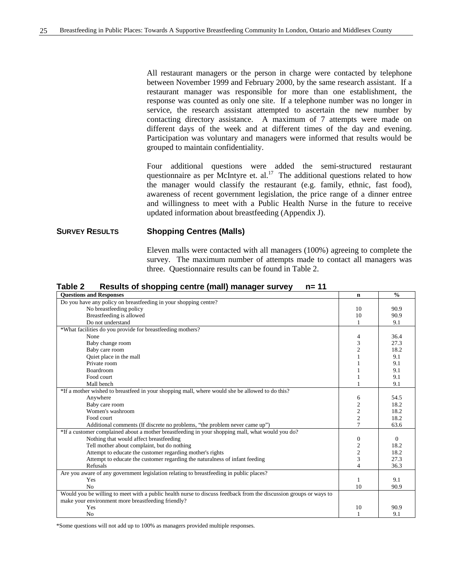All restaurant managers or the person in charge were contacted by telephone between November 1999 and February 2000, by the same research assistant. If a restaurant manager was responsible for more than one establishment, the response was counted as only one site. If a telephone number was no longer in service, the research assistant attempted to ascertain the new number by contacting directory assistance. A maximum of 7 attempts were made on different days of the week and at different times of the day and evening. Participation was voluntary and managers were informed that results would be grouped to maintain confidentiality.

Four additional questions were added the semi-structured restaurant questionnaire as per McIntyre et. al.<sup>17</sup> The additional questions related to how the manager would classify the restaurant (e.g. family, ethnic, fast food), awareness of recent government legislation, the price range of a dinner entree and willingness to meet with a Public Health Nurse in the future to receive updated information about breastfeeding (Appendix J).

#### **SURVEY RESULTS Shopping Centres (Malls)**

Eleven malls were contacted with all managers (100%) agreeing to complete the survey. The maximum number of attempts made to contact all managers was three. Questionnaire results can be found in Table 2.

| <b>Questions and Responses</b>                                                                                    | n              | $\frac{0}{0}$ |
|-------------------------------------------------------------------------------------------------------------------|----------------|---------------|
| Do you have any policy on breastfeeding in your shopping centre?                                                  |                |               |
| No breastfeeding policy                                                                                           |                | 90.9          |
| Breastfeeding is allowed                                                                                          | 10             | 90.9          |
| Do not understand                                                                                                 |                | 9.1           |
| *What facilities do you provide for breastfeeding mothers?                                                        |                |               |
| None                                                                                                              | 4              | 36.4          |
| Baby change room                                                                                                  | 3              | 27.3          |
| Baby care room                                                                                                    | $\overline{c}$ | 18.2          |
| Quiet place in the mall                                                                                           |                | 9.1           |
| Private room                                                                                                      |                | 9.1           |
| <b>Boardroom</b>                                                                                                  |                | 9.1           |
| Food court                                                                                                        |                | 9.1           |
| Mall bench                                                                                                        |                | 9.1           |
| *If a mother wished to breastfeed in your shopping mall, where would she be allowed to do this?                   |                |               |
| Anywhere                                                                                                          | 6              | 54.5          |
| Baby care room                                                                                                    | $\mathfrak{2}$ | 18.2          |
| Women's washroom                                                                                                  | $\mathfrak{2}$ | 18.2          |
| Food court                                                                                                        | $\overline{c}$ | 18.2          |
| Additional comments (If discrete no problems, "the problem never came up")                                        | $\overline{7}$ | 63.6          |
| *If a customer complained about a mother breastfeeding in your shopping mall, what would you do?                  |                |               |
| Nothing that would affect breastfeeding                                                                           | $\theta$       | $\Omega$      |
| Tell mother about complaint, but do nothing                                                                       | $\mathfrak{2}$ | 18.2          |
| Attempt to educate the customer regarding mother's rights                                                         | $\overline{c}$ | 18.2          |
| Attempt to educate the customer regarding the naturalness of infant feeding                                       | 3              | 27.3          |
| <b>Refusals</b>                                                                                                   | 4              | 36.3          |
| Are you aware of any government legislation relating to breastfeeding in public places?                           |                |               |
| Yes                                                                                                               |                | 9.1           |
| No                                                                                                                | 10             | 90.9          |
| Would you be willing to meet with a public health nurse to discuss feedback from the discussion groups or ways to |                |               |
| make your environment more breastfeeding friendly?                                                                |                |               |
| Yes                                                                                                               | 10             | 90.9          |
| N <sub>0</sub>                                                                                                    |                | 9.1           |

**Table 2 Results of shopping centre (mall) manager survey n= 11**

\*Some questions will not add up to 100% as managers provided multiple responses.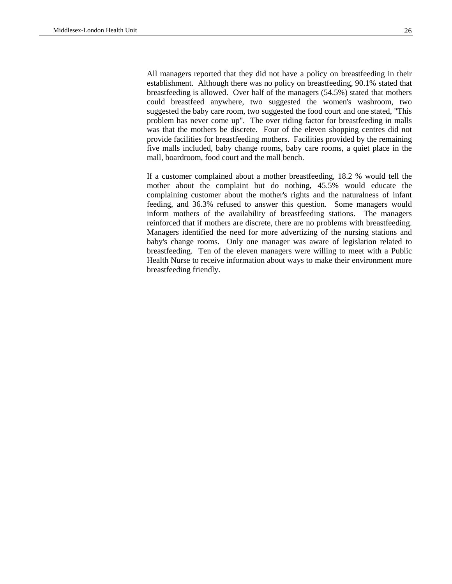All managers reported that they did not have a policy on breastfeeding in their establishment. Although there was no policy on breastfeeding, 90.1% stated that breastfeeding is allowed. Over half of the managers (54.5%) stated that mothers could breastfeed anywhere, two suggested the women's washroom, two suggested the baby care room, two suggested the food court and one stated, "This problem has never come up". The over riding factor for breastfeeding in malls was that the mothers be discrete. Four of the eleven shopping centres did not provide facilities for breastfeeding mothers. Facilities provided by the remaining five malls included, baby change rooms, baby care rooms, a quiet place in the mall, boardroom, food court and the mall bench.

If a customer complained about a mother breastfeeding, 18.2 % would tell the mother about the complaint but do nothing, 45.5% would educate the complaining customer about the mother's rights and the naturalness of infant feeding, and 36.3% refused to answer this question. Some managers would inform mothers of the availability of breastfeeding stations. The managers reinforced that if mothers are discrete, there are no problems with breastfeeding. Managers identified the need for more advertizing of the nursing stations and baby's change rooms. Only one manager was aware of legislation related to breastfeeding. Ten of the eleven managers were willing to meet with a Public Health Nurse to receive information about ways to make their environment more breastfeeding friendly.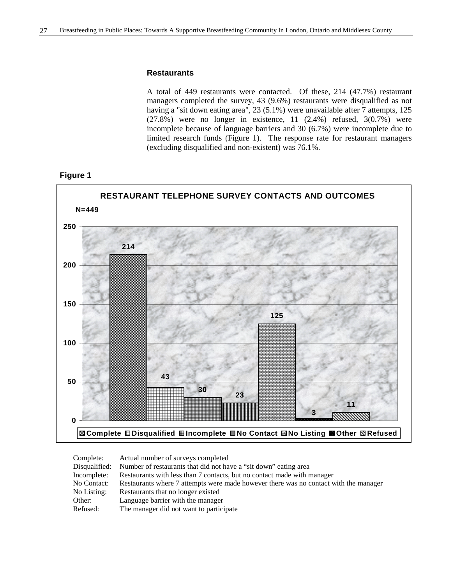#### **Restaurants**

A total of 449 restaurants were contacted. Of these, 214 (47.7%) restaurant managers completed the survey, 43 (9.6%) restaurants were disqualified as not having a "sit down eating area", 23 (5.1%) were unavailable after 7 attempts, 125  $(27.8%)$  were no longer in existence, 11  $(2.4%)$  refused,  $3(0.7%)$  were incomplete because of language barriers and 30 (6.7%) were incomplete due to limited research funds (Figure 1). The response rate for restaurant managers (excluding disqualified and non-existent) was 76.1%.

#### **Figure 1**



| Complete:     | Actual number of surveys completed                                                   |
|---------------|--------------------------------------------------------------------------------------|
| Disqualified: | Number of restaurants that did not have a "sit down" eating area                     |
| Incomplete:   | Restaurants with less than 7 contacts, but no contact made with manager              |
| No Contact:   | Restaurants where 7 attempts were made however there was no contact with the manager |
| No Listing:   | Restaurants that no longer existed                                                   |
| Other:        | Language barrier with the manager                                                    |
| Refused:      | The manager did not want to participate                                              |
|               |                                                                                      |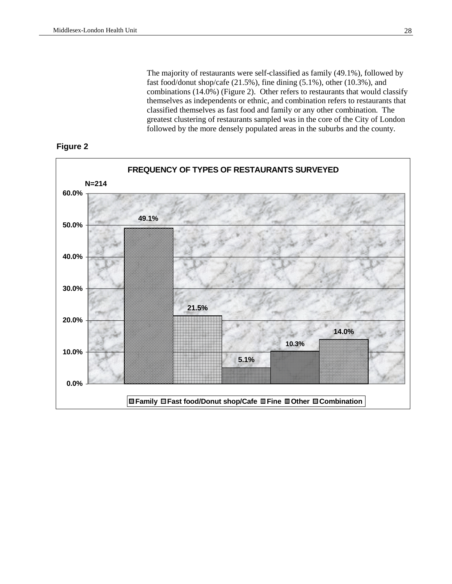The majority of restaurants were self-classified as family (49.1%), followed by fast food/donut shop/cafe (21.5%), fine dining (5.1%), other (10.3%), and combinations (14.0%) (Figure 2). Other refers to restaurants that would classify themselves as independents or ethnic, and combination refers to restaurants that classified themselves as fast food and family or any other combination. The greatest clustering of restaurants sampled was in the core of the City of London followed by the more densely populated areas in the suburbs and the county.



### **Figure 2**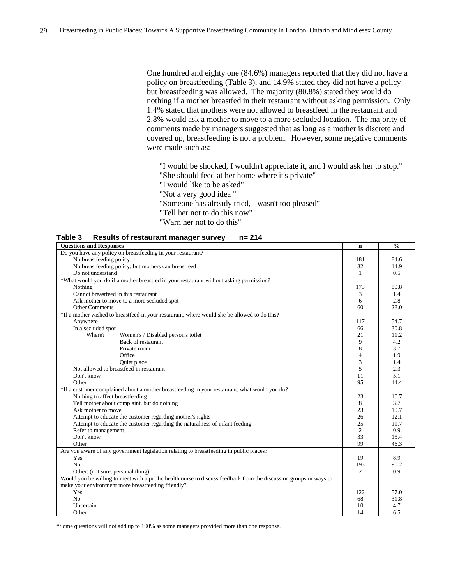One hundred and eighty one (84.6%) managers reported that they did not have a policy on breastfeeding (Table 3), and 14.9% stated they did not have a policy but breastfeeding was allowed. The majority (80.8%) stated they would do nothing if a mother breastfed in their restaurant without asking permission. Only 1.4% stated that mothers were not allowed to breastfeed in the restaurant and 2.8% would ask a mother to move to a more secluded location. The majority of comments made by managers suggested that as long as a mother is discrete and covered up, breastfeeding is not a problem. However, some negative comments were made such as:

"I would be shocked, I wouldn't appreciate it, and I would ask her to stop." "She should feed at her home where it's private" "I would like to be asked" "Not a very good idea " "Someone has already tried, I wasn't too pleased" "Tell her not to do this now" "Warn her not to do this"

| <b>Ouestions and Responses</b>                                                         |     | $\frac{0}{4}$ |
|----------------------------------------------------------------------------------------|-----|---------------|
| Do you have any policy on breastfeeding in your restaurant?                            |     |               |
| No breastfeeding policy                                                                | 181 | 84.           |
| No breastfeeding policy, but mothers can breastfeed                                    | 32  | 14.           |
| Do not understand                                                                      |     | 0.3           |
| *What would you do if a mother breastfed in your restaurant without asking permission? |     |               |
| $N$ othing                                                                             | 172 | $\Omega$      |

| Table 3 | <b>Results of restaurant manager survey</b> | n= 214 |
|---------|---------------------------------------------|--------|
|         |                                             |        |

| No breastfeeding policy                                                                                           | 181            | 84.6 |
|-------------------------------------------------------------------------------------------------------------------|----------------|------|
| No breastfeeding policy, but mothers can breastfeed                                                               | 32             | 14.9 |
| Do not understand                                                                                                 | -1             | 0.5  |
| *What would you do if a mother breastfed in your restaurant without asking permission?                            |                |      |
| Nothing                                                                                                           | 173            | 80.8 |
| Cannot breastfeed in this restaurant                                                                              | 3              | 1.4  |
| Ask mother to move to a more secluded spot                                                                        | 6              | 2.8  |
| <b>Other Comments</b>                                                                                             | 60             | 28.0 |
| *If a mother wished to breastfeed in your restaurant, where would she be allowed to do this?                      |                |      |
| Anywhere                                                                                                          | 117            | 54.7 |
| In a secluded spot                                                                                                | 66             | 30.8 |
| Where?<br>Women's / Disabled person's toilet                                                                      | 21             | 11.2 |
| Back of restaurant                                                                                                | 9              | 4.2  |
| Private room                                                                                                      | 8              | 3.7  |
| Office                                                                                                            | $\overline{4}$ | 1.9  |
| Quiet place                                                                                                       | 3              | 1.4  |
| Not allowed to breastfeed in restaurant                                                                           | 5              | 2.3  |
| Don't know                                                                                                        | 11             | 5.1  |
| Other                                                                                                             | 95             | 44.4 |
| *If a customer complained about a mother breastfeeding in your restaurant, what would you do?                     |                |      |
| Nothing to affect breastfeeding                                                                                   | 23             | 10.7 |
| Tell mother about complaint, but do nothing                                                                       | 8              | 3.7  |
| Ask mother to move                                                                                                | 23             | 10.7 |
| Attempt to educate the customer regarding mother's rights                                                         | 26             | 12.1 |
| Attempt to educate the customer regarding the naturalness of infant feeding                                       | 25             | 11.7 |
| Refer to management                                                                                               | 2              | 0.9  |
| Don't know                                                                                                        | 33             | 15.4 |
| Other                                                                                                             | 99             | 46.3 |
| Are you aware of any government legislation relating to breastfeeding in public places?                           |                |      |
| Yes                                                                                                               | 19             | 8.9  |
| No                                                                                                                | 193            | 90.2 |
| Other: (not sure, personal thing)                                                                                 | $\mathfrak{2}$ | 0.9  |
| Would you be willing to meet with a public health nurse to discuss feedback from the discussion groups or ways to |                |      |
| make your environment more breastfeeding friendly?                                                                |                |      |
| Yes                                                                                                               | 122            | 57.0 |
| No                                                                                                                | 68             | 31.8 |
| Uncertain                                                                                                         | 10             | 4.7  |
| Other                                                                                                             | 14             | 6.5  |

\*Some questions will not add up to 100% as some managers provided more than one response.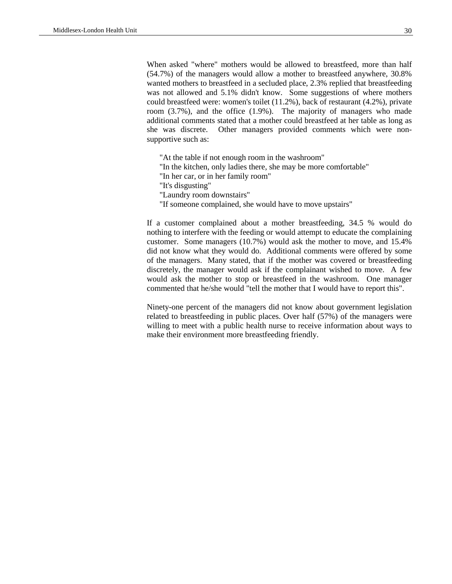When asked "where" mothers would be allowed to breastfeed, more than half (54.7%) of the managers would allow a mother to breastfeed anywhere, 30.8% wanted mothers to breastfeed in a secluded place, 2.3% replied that breastfeeding was not allowed and 5.1% didn't know. Some suggestions of where mothers could breastfeed were: women's toilet (11.2%), back of restaurant (4.2%), private room (3.7%), and the office (1.9%). The majority of managers who made additional comments stated that a mother could breastfeed at her table as long as she was discrete. Other managers provided comments which were nonsupportive such as:

"At the table if not enough room in the washroom" "In the kitchen, only ladies there, she may be more comfortable" "In her car, or in her family room" "It's disgusting" "Laundry room downstairs" "If someone complained, she would have to move upstairs"

If a customer complained about a mother breastfeeding, 34.5 % would do nothing to interfere with the feeding or would attempt to educate the complaining customer. Some managers (10.7%) would ask the mother to move, and 15.4% did not know what they would do. Additional comments were offered by some of the managers. Many stated, that if the mother was covered or breastfeeding discretely, the manager would ask if the complainant wished to move. A few would ask the mother to stop or breastfeed in the washroom. One manager commented that he/she would "tell the mother that I would have to report this".

Ninety-one percent of the managers did not know about government legislation related to breastfeeding in public places. Over half (57%) of the managers were willing to meet with a public health nurse to receive information about ways to make their environment more breastfeeding friendly.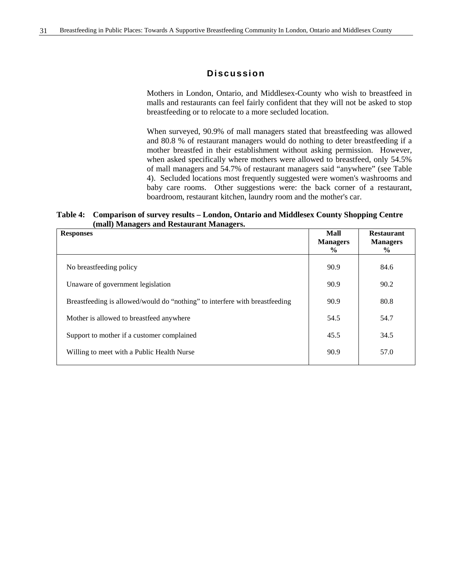### **Discussion**

Mothers in London, Ontario, and Middlesex-County who wish to breastfeed in malls and restaurants can feel fairly confident that they will not be asked to stop breastfeeding or to relocate to a more secluded location.

When surveyed, 90.9% of mall managers stated that breastfeeding was allowed and 80.8 % of restaurant managers would do nothing to deter breastfeeding if a mother breastfed in their establishment without asking permission. However, when asked specifically where mothers were allowed to breastfeed, only 54.5% of mall managers and 54.7% of restaurant managers said "anywhere" (see Table 4). Secluded locations most frequently suggested were women's washrooms and baby care rooms. Other suggestions were: the back corner of a restaurant, boardroom, restaurant kitchen, laundry room and the mother's car.

#### **Table 4: Comparison of survey results – London, Ontario and Middlesex County Shopping Centre (mall) Managers and Restaurant Managers.**

| <b>Responses</b>                                                            | Mall<br><b>Managers</b><br>$\frac{6}{9}$ | <b>Restaurant</b><br><b>Managers</b><br>$\frac{6}{9}$ |
|-----------------------------------------------------------------------------|------------------------------------------|-------------------------------------------------------|
| No breastfeeding policy                                                     | 90.9                                     | 84.6                                                  |
| Unaware of government legislation                                           | 90.9                                     | 90.2                                                  |
| Breastfeeding is allowed/would do "nothing" to interfere with breastfeeding | 90.9                                     | 80.8                                                  |
| Mother is allowed to breastfeed anywhere                                    | 54.5                                     | 54.7                                                  |
| Support to mother if a customer complained                                  | 45.5                                     | 34.5                                                  |
| Willing to meet with a Public Health Nurse                                  | 90.9                                     | 57.0                                                  |
|                                                                             |                                          |                                                       |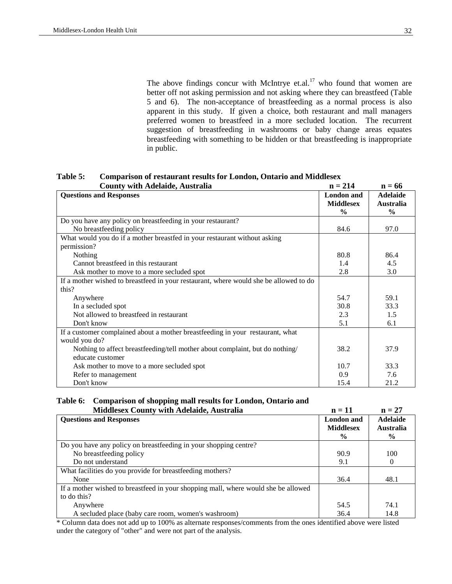| <b>County with Adelaide, Australia</b>                                                | $n = 214$         | $n = 66$         |
|---------------------------------------------------------------------------------------|-------------------|------------------|
| <b>Questions and Responses</b>                                                        | <b>London</b> and | <b>Adelaide</b>  |
|                                                                                       | <b>Middlesex</b>  | <b>Australia</b> |
|                                                                                       | $\frac{6}{9}$     | $\frac{6}{9}$    |
| Do you have any policy on breastfeeding in your restaurant?                           |                   |                  |
| No breastfeeding policy                                                               | 84.6              | 97.0             |
| What would you do if a mother breastfed in your restaurant without asking             |                   |                  |
| permission?                                                                           |                   |                  |
| Nothing                                                                               | 80.8              | 86.4             |
| Cannot breastfeed in this restaurant                                                  | 1.4               | 4.5              |
| Ask mother to move to a more secluded spot                                            | 2.8               | 3.0              |
| If a mother wished to breastfeed in your restaurant, where would she be allowed to do |                   |                  |
| this?                                                                                 |                   |                  |
| Anywhere                                                                              | 54.7              | 59.1             |
| In a secluded spot                                                                    | 30.8              | 33.3             |
| Not allowed to breastfeed in restaurant                                               | 2.3               | 1.5              |
| Don't know                                                                            | 5.1               | 6.1              |
| If a customer complained about a mother breastfeeding in your restaurant, what        |                   |                  |
| would you do?                                                                         |                   |                  |
| Nothing to affect breastfeeding/tell mother about complaint, but do nothing/          | 38.2              | 37.9             |
| educate customer                                                                      |                   |                  |
| Ask mother to move to a more secluded spot                                            | 10.7              | 33.3             |
| Refer to management                                                                   | 0.9               | 7.6              |
| Don't know                                                                            | 15.4              | 21.2             |

### **Table 5: Comparison of restaurant results for London, Ontario and Middlesex**

# **Table 6: Comparison of shopping mall results for London, Ontario and**

| <b>Middlesex County with Adelaide, Australia</b>                                   | $n = 11$          | $n = 27$         |
|------------------------------------------------------------------------------------|-------------------|------------------|
| <b>Questions and Responses</b>                                                     | <b>London</b> and | <b>Adelaide</b>  |
|                                                                                    | <b>Middlesex</b>  | <b>Australia</b> |
|                                                                                    | $\frac{0}{0}$     | $\frac{6}{9}$    |
| Do you have any policy on breastfeeding in your shopping centre?                   |                   |                  |
| No breastfeeding policy                                                            | 90.9              | 100              |
| Do not understand                                                                  | 9.1               | $\theta$         |
| What facilities do you provide for breastfeeding mothers?                          |                   |                  |
| None                                                                               | 36.4              | 48.1             |
| If a mother wished to breastfeed in your shopping mall, where would she be allowed |                   |                  |
| to do this?                                                                        |                   |                  |
| Anywhere                                                                           | 54.5              | 74.1             |
| A secluded place (baby care room, women's washroom)                                | 36.4              | 14.8             |

\* Column data does not add up to 100% as alternate responses/comments from the ones identified above were listed under the category of "other" and were not part of the analysis.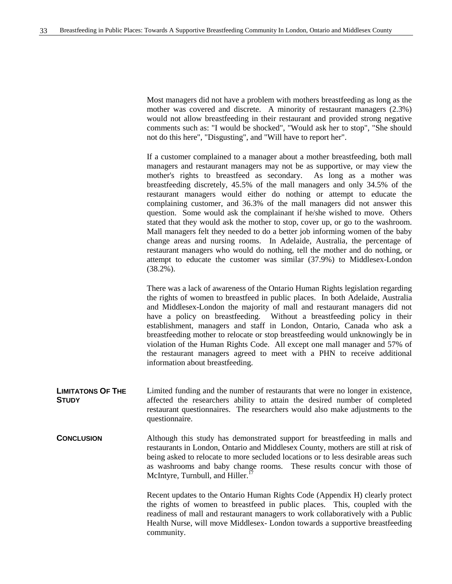Most managers did not have a problem with mothers breastfeeding as long as the mother was covered and discrete. A minority of restaurant managers (2.3%) would not allow breastfeeding in their restaurant and provided strong negative comments such as: "I would be shocked", "Would ask her to stop", "She should not do this here", "Disgusting", and "Will have to report her".

If a customer complained to a manager about a mother breastfeeding, both mall managers and restaurant managers may not be as supportive, or may view the mother's rights to breastfeed as secondary. As long as a mother was breastfeeding discretely, 45.5% of the mall managers and only 34.5% of the restaurant managers would either do nothing or attempt to educate the complaining customer, and 36.3% of the mall managers did not answer this question. Some would ask the complainant if he/she wished to move. Others stated that they would ask the mother to stop, cover up, or go to the washroom. Mall managers felt they needed to do a better job informing women of the baby change areas and nursing rooms. In Adelaide, Australia, the percentage of restaurant managers who would do nothing, tell the mother and do nothing, or attempt to educate the customer was similar (37.9%) to Middlesex-London (38.2%).

There was a lack of awareness of the Ontario Human Rights legislation regarding the rights of women to breastfeed in public places. In both Adelaide, Australia and Middlesex-London the majority of mall and restaurant managers did not have a policy on breastfeeding. Without a breastfeeding policy in their establishment, managers and staff in London, Ontario, Canada who ask a breastfeeding mother to relocate or stop breastfeeding would unknowingly be in violation of the Human Rights Code. All except one mall manager and 57% of the restaurant managers agreed to meet with a PHN to receive additional information about breastfeeding.

- **LIMITATONS OF THE STUDY** Limited funding and the number of restaurants that were no longer in existence, affected the researchers ability to attain the desired number of completed restaurant questionnaires. The researchers would also make adjustments to the questionnaire.
- **CONCLUSION** Although this study has demonstrated support for breastfeeding in malls and restaurants in London, Ontario and Middlesex County, mothers are still at risk of being asked to relocate to more secluded locations or to less desirable areas such as washrooms and baby change rooms. These results concur with those of McIntyre, Turnbull, and Hiller.<sup>17</sup>

Recent updates to the Ontario Human Rights Code (Appendix H) clearly protect the rights of women to breastfeed in public places. This, coupled with the readiness of mall and restaurant managers to work collaboratively with a Public Health Nurse, will move Middlesex- London towards a supportive breastfeeding community.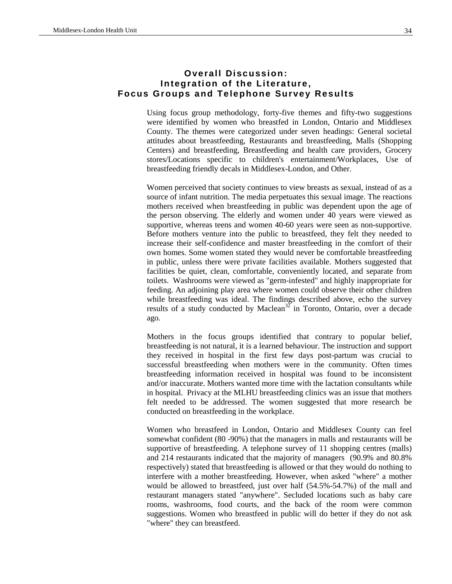### **Overall Discussion: Integration of the Literature, Focus Groups and Telephone Survey Results**

Using focus group methodology, forty-five themes and fifty-two suggestions were identified by women who breastfed in London, Ontario and Middlesex County. The themes were categorized under seven headings: General societal attitudes about breastfeeding, Restaurants and breastfeeding, Malls (Shopping Centers) and breastfeeding, Breastfeeding and health care providers, Grocery stores/Locations specific to children's entertainment/Workplaces, Use of breastfeeding friendly decals in Middlesex-London, and Other.

Women perceived that society continues to view breasts as sexual, instead of as a source of infant nutrition. The media perpetuates this sexual image. The reactions mothers received when breastfeeding in public was dependent upon the age of the person observing. The elderly and women under 40 years were viewed as supportive, whereas teens and women 40-60 years were seen as non-supportive. Before mothers venture into the public to breastfeed, they felt they needed to increase their self-confidence and master breastfeeding in the comfort of their own homes. Some women stated they would never be comfortable breastfeeding in public, unless there were private facilities available. Mothers suggested that facilities be quiet, clean, comfortable, conveniently located, and separate from toilets. Washrooms were viewed as "germ-infested" and highly inappropriate for feeding. An adjoining play area where women could observe their other children while breastfeeding was ideal. The findings described above, echo the survey results of a study conducted by Maclean<sup>32</sup> in Toronto, Ontario, over a decade ago.

Mothers in the focus groups identified that contrary to popular belief, breastfeeding is not natural, it is a learned behaviour. The instruction and support they received in hospital in the first few days post-partum was crucial to successful breastfeeding when mothers were in the community. Often times breastfeeding information received in hospital was found to be inconsistent and/or inaccurate. Mothers wanted more time with the lactation consultants while in hospital. Privacy at the MLHU breastfeeding clinics was an issue that mothers felt needed to be addressed. The women suggested that more research be conducted on breastfeeding in the workplace.

Women who breastfeed in London, Ontario and Middlesex County can feel somewhat confident (80 -90%) that the managers in malls and restaurants will be supportive of breastfeeding. A telephone survey of 11 shopping centres (malls) and 214 restaurants indicated that the majority of managers (90.9% and 80.8% respectively) stated that breastfeeding is allowed or that they would do nothing to interfere with a mother breastfeeding. However, when asked "where" a mother would be allowed to breastfeed, just over half (54.5%-54.7%) of the mall and restaurant managers stated "anywhere". Secluded locations such as baby care rooms, washrooms, food courts, and the back of the room were common suggestions. Women who breastfeed in public will do better if they do not ask "where" they can breastfeed.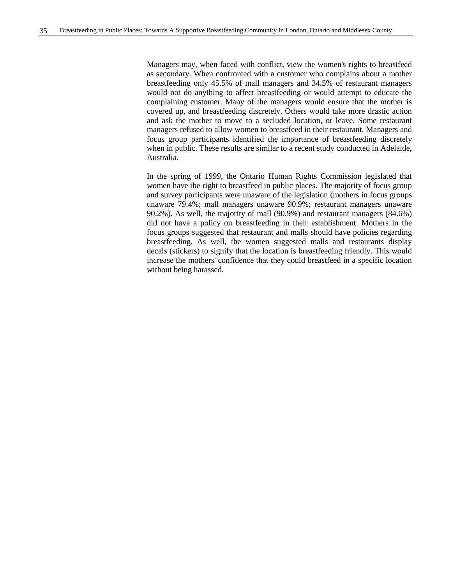Managers may, when faced with conflict, view the women's rights to breastfeed as secondary. When confronted with a customer who complains about a mother breastfeeding only 45.5% of mall managers and 34.5% of restaurant managers would not do anything to affect breastfeeding or would attempt to educate the complaining customer. Many of the managers would ensure that the mother is covered up, and breastfeeding discretely. Others would take more drastic action and ask the mother to move to a secluded location, or leave. Some restaurant managers refused to allow women to breastfeed in their restaurant. Managers and focus group participants identified the importance of breastfeeding discretely when in public. These results are similar to a recent study conducted in Adelaide, Australia.

In the spring of 1999, the Ontario Human Rights Commission legislated that women have the right to breastfeed in public places. The majority of focus group and survey participants were unaware of the legislation (mothers in focus groups unaware 79.4%; mall managers unaware 90.9%; restaurant managers unaware 90.2%). As well, the majority of mall (90.9%) and restaurant managers (84.6%) did not have a policy on breastfeeding in their establishment. Mothers in the focus groups suggested that restaurant and malls should have policies regarding breastfeeding. As well, the women suggested malls and restaurants display decals (stickers) to signify that the location is breastfeeding friendly. This would increase the mothers' confidence that they could breastfeed in a specific location without being harassed.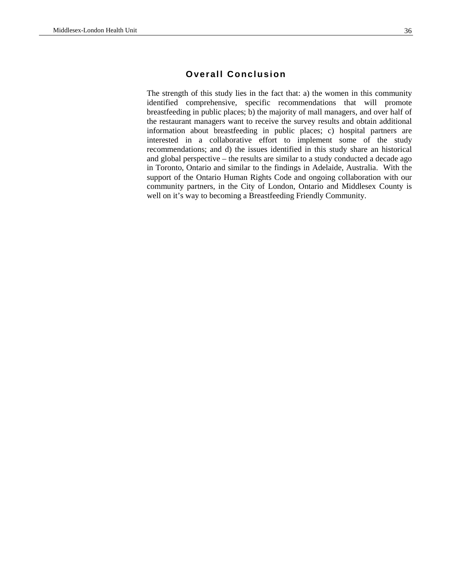The strength of this study lies in the fact that: a) the women in this community identified comprehensive, specific recommendations that will promote breastfeeding in public places; b) the majority of mall managers, and over half of the restaurant managers want to receive the survey results and obtain additional information about breastfeeding in public places; c) hospital partners are interested in a collaborative effort to implement some of the study recommendations; and d) the issues identified in this study share an historical and global perspective – the results are similar to a study conducted a decade ago in Toronto, Ontario and similar to the findings in Adelaide, Australia. With the support of the Ontario Human Rights Code and ongoing collaboration with our community partners, in the City of London, Ontario and Middlesex County is well on it's way to becoming a Breastfeeding Friendly Community.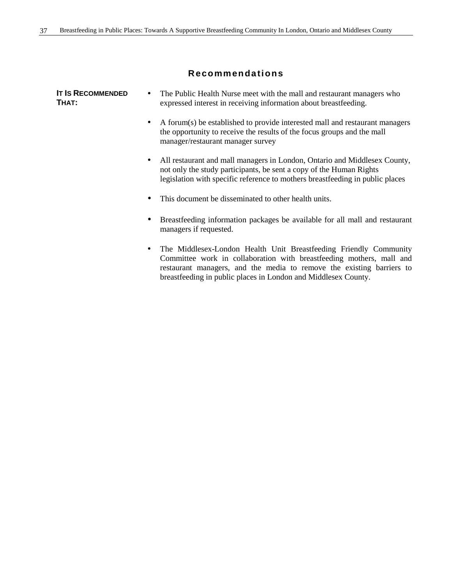### **Recommendations**

**IT IS RECOMMENDED THAT:** • The Public Health Nurse meet with the mall and restaurant managers who expressed interest in receiving information about breastfeeding.

- A forum(s) be established to provide interested mall and restaurant managers the opportunity to receive the results of the focus groups and the mall manager/restaurant manager survey
- All restaurant and mall managers in London, Ontario and Middlesex County, not only the study participants, be sent a copy of the Human Rights legislation with specific reference to mothers breastfeeding in public places
- This document be disseminated to other health units.
- Breastfeeding information packages be available for all mall and restaurant managers if requested.
- The Middlesex-London Health Unit Breastfeeding Friendly Community Committee work in collaboration with breastfeeding mothers, mall and restaurant managers, and the media to remove the existing barriers to breastfeeding in public places in London and Middlesex County.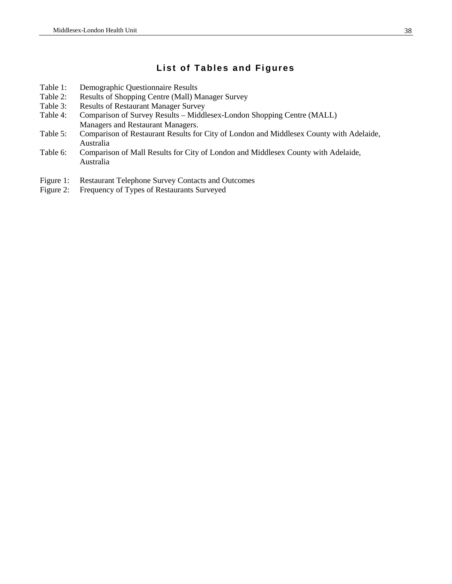## **List of Tables and Figures**

- Table 1: Demographic Questionnaire Results
- Table 2: Results of Shopping Centre (Mall) Manager Survey
- Table 3: Results of Restaurant Manager Survey
- Table 4: Comparison of Survey Results Middlesex-London Shopping Centre (MALL) Managers and Restaurant Managers.
- Table 5: Comparison of Restaurant Results for City of London and Middlesex County with Adelaide, Australia
- Table 6: Comparison of Mall Results for City of London and Middlesex County with Adelaide, Australia
- Figure 1: Restaurant Telephone Survey Contacts and Outcomes
- Figure 2: Frequency of Types of Restaurants Surveyed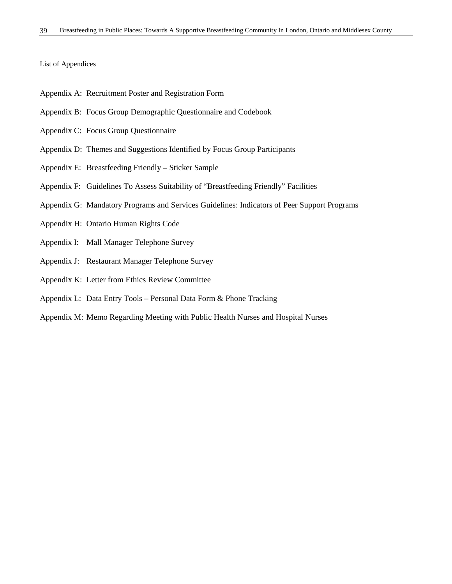#### List of Appendices

- Appendix A: Recruitment Poster and Registration Form
- Appendix B: Focus Group Demographic Questionnaire and Codebook
- Appendix C: Focus Group Questionnaire
- Appendix D: Themes and Suggestions Identified by Focus Group Participants
- Appendix E: Breastfeeding Friendly Sticker Sample
- Appendix F: Guidelines To Assess Suitability of "Breastfeeding Friendly" Facilities
- Appendix G: Mandatory Programs and Services Guidelines: Indicators of Peer Support Programs
- Appendix H: Ontario Human Rights Code
- Appendix I: Mall Manager Telephone Survey
- Appendix J: Restaurant Manager Telephone Survey
- Appendix K: Letter from Ethics Review Committee
- Appendix L: Data Entry Tools Personal Data Form & Phone Tracking
- Appendix M: Memo Regarding Meeting with Public Health Nurses and Hospital Nurses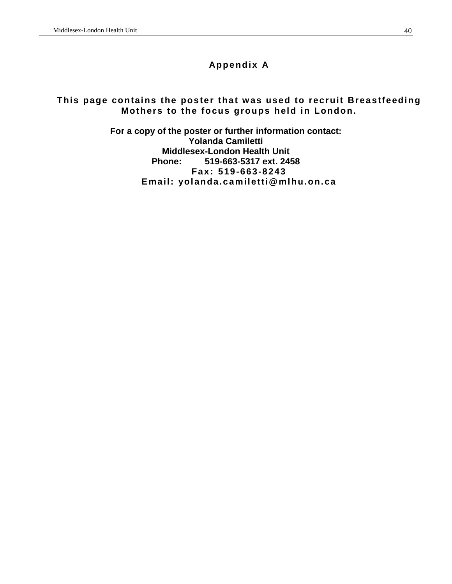### **Appendix A**

### **This page contains the poster that was used to recruit Breastfeeding Mothers to the focus groups held in London.**

**For a copy of the poster or further information contact: Yolanda Camiletti Middlesex-London Health Unit Phone: 519-663-5317 ext. 2458 Fax: 519-663-8243 Email: yolanda.camiletti@mlhu.on.ca**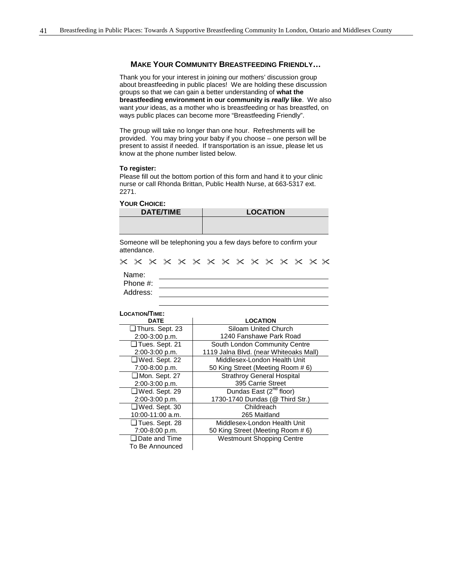#### **MAKE YOUR COMMUNITY BREASTFEEDING FRIENDLY…**

Thank you for your interest in joining our mothers' discussion group about breastfeeding in public places! We are holding these discussion groups so that we can gain a better understanding of **what the breastfeeding environment in our community is** *really* **like**. We also want *your* ideas, as a mother who is breastfeeding or has breastfed, on ways public places can become more "Breastfeeding Friendly".

The group will take no longer than one hour. Refreshments will be provided. You may bring your baby if you choose – one person will be present to assist if needed. If transportation is an issue, please let us know at the phone number listed below.

#### **To register:**

Please fill out the bottom portion of this form and hand it to your clinic nurse or call Rhonda Brittan, Public Health Nurse, at 663-5317 ext. 2271.

#### **YOUR CHOICE:**

| <b>DATE/TIME</b> | <b>LOCATION</b> |
|------------------|-----------------|
|                  |                 |

Someone will be telephoning you a few days before to confirm your attendance.

|          |  |  | x x x x x x x x x x x x x x x |  |  |  |  |
|----------|--|--|-------------------------------|--|--|--|--|
| Name:    |  |  |                               |  |  |  |  |
| Phone #: |  |  |                               |  |  |  |  |
| Address: |  |  |                               |  |  |  |  |

| LOCATION/TIME:        |                                        |
|-----------------------|----------------------------------------|
| <b>DATE</b>           | <b>LOCATION</b>                        |
| Thurs. Sept. 23       | Siloam United Church                   |
| 2:00-3:00 p.m.        | 1240 Fanshawe Park Road                |
| $\Box$ Tues. Sept. 21 | South London Community Centre          |
| 2:00-3:00 p.m.        | 1119 Jalna Blvd. (near Whiteoaks Mall) |
| $\Box$ Wed. Sept. 22  | Middlesex-London Health Unit           |
| 7:00-8:00 p.m.        | 50 King Street (Meeting Room #6)       |
| □ Mon. Sept. 27       | <b>Strathroy General Hospital</b>      |
| 2:00-3:00 p.m.        | 395 Carrie Street                      |
| $\Box$ Wed. Sept. 29  | Dundas East (2 <sup>nd</sup> floor)    |
| 2:00-3:00 p.m.        | 1730-1740 Dundas (@ Third Str.)        |
| $\Box$ Wed. Sept. 30  | Childreach                             |
| 10:00-11:00 a.m.      | 265 Maitland                           |
| $\Box$ Tues. Sept. 28 | Middlesex-London Health Unit           |
| 7:00-8:00 p.m.        | 50 King Street (Meeting Room # 6)      |
| $\Box$ Date and Time  | <b>Westmount Shopping Centre</b>       |
| To Be Announced       |                                        |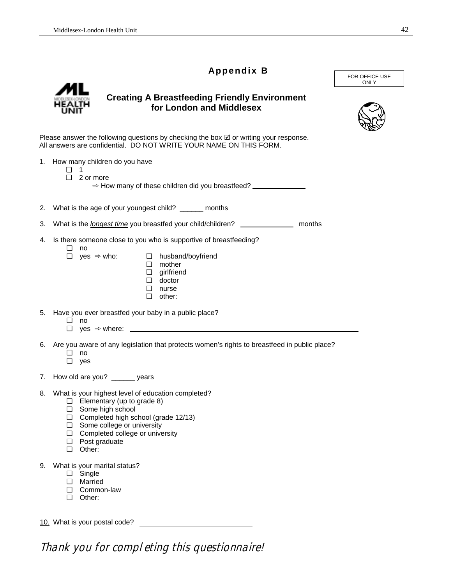## **Appendix B**



### **Creating A Breastfeeding Friendly Environment for London and Middlesex**



FOR OFFICE USE **ONLY** 

Please answer the following questions by checking the box  $\boxtimes$  or writing your response. All answers are confidential. DO NOT WRITE YOUR NAME ON THIS FORM.

- 1. How many children do you have
	- ❏ 1
	- ❏ 2 or more

 $\Rightarrow$  How many of these children did you breastfeed?  $\frac{1}{\sqrt{1-\frac{1}{\sqrt{1-\frac{1}{\sqrt{1-\frac{1}{\sqrt{1-\frac{1}{\sqrt{1-\frac{1}{\sqrt{1-\frac{1}{\sqrt{1-\frac{1}{\sqrt{1-\frac{1}{\sqrt{1-\frac{1}{\sqrt{1-\frac{1}{\sqrt{1-\frac{1}{\sqrt{1-\frac{1}{\sqrt{1-\frac{1}{\sqrt{1-\frac{1}{\sqrt{1-\frac{1}{\sqrt{1-\frac{1}{\sqrt{1-\frac{1}{\sqrt{1-\frac{1}{\$ 

2. What is the age of your youngest child? \_\_\_\_\_\_ months

- 3. What is the *longest time* you breastfed your child/children? \_\_\_\_\_\_\_\_\_\_\_\_\_\_\_ months
- 4. Is there someone close to you who is supportive of breastfeeding?
	- ❏ no
	- ❏ yes ➾ who: ❏ husband/boyfriend
		- ❏ mother
		- ❏ girlfriend
		- ❏ doctor
		- ❏ nurse ❏ other:
- 5. Have you ever breastfed your baby in a public place?
	- ❏ no
	- ❏ yes ➾ where:
- 6. Are you aware of any legislation that protects women's rights to breastfeed in public place?
	- ❏ no
	- ❏ yes
- 7. How old are you? \_\_\_\_\_\_ years
- 8. What is your highest level of education completed?
	- ❏ Elementary (up to grade 8)
	- ❏ Some high school
	- ❏ Completed high school (grade 12/13)
	- ❏ Some college or university
	- ❏ Completed college or university
	- ❏ Post graduate
	- ❏ Other:
- 9. What is your marital status?
	- ❏ Single
	- ❏ Married
	- ❏ Common-law
	- ❏ Other:

10. What is your postal code?

Thank you for completing this questionnaire!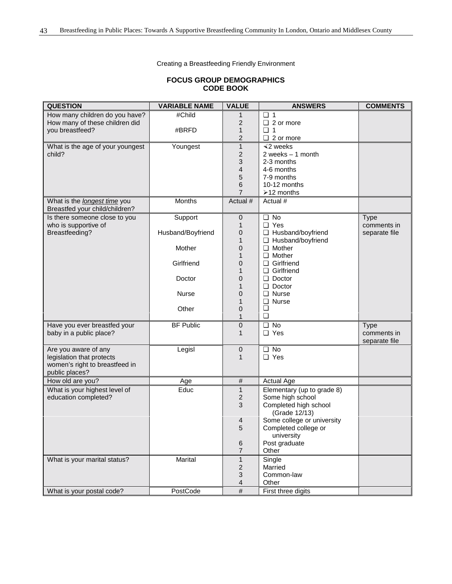Creating a Breastfeeding Friendly Environment

#### **FOCUS GROUP DEMOGRAPHICS CODE BOOK**

| <b>QUESTION</b>                     | <b>VARIABLE NAME</b> | <b>VALUE</b>      | <b>ANSWERS</b>                             | <b>COMMENTS</b> |
|-------------------------------------|----------------------|-------------------|--------------------------------------------|-----------------|
| How many children do you have?      | #Child               | 1                 | $\Box$ 1                                   |                 |
| How many of these children did      |                      | 2                 | $\Box$ 2 or more                           |                 |
| you breastfeed?                     | #BRFD                | $\mathbf{1}$      | ❏ 1                                        |                 |
|                                     |                      | $\overline{2}$    | $\Box$ 2 or more                           |                 |
| What is the age of your youngest    | Youngest             | $\mathbf{1}$      | $\leq$ 2 weeks                             |                 |
| child?                              |                      | $\overline{2}$    | 2 weeks $-1$ month                         |                 |
|                                     |                      | 3                 | 2-3 months                                 |                 |
|                                     |                      | $\overline{4}$    | 4-6 months                                 |                 |
|                                     |                      | 5                 | 7-9 months                                 |                 |
|                                     |                      | 6                 | 10-12 months                               |                 |
|                                     |                      | $\overline{7}$    | $\geq 12$ months                           |                 |
| What is the <i>longest time</i> you | Months               | Actual #          | Actual #                                   |                 |
| Breastfed your child/children?      |                      |                   |                                            |                 |
| Is there someone close to you       | Support              | 0                 | $\Box$ No                                  |                 |
|                                     |                      | $\mathbf{1}$      | $\Box$ Yes                                 | <b>Type</b>     |
| who is supportive of                | Husband/Boyfriend    | 0                 |                                            | comments in     |
| Breastfeeding?                      |                      |                   | □ Husband/boyfriend                        | separate file   |
|                                     | Mother               | $\mathbf{1}$      | Husband/boyfriend<br>❏<br>Mother<br>$\Box$ |                 |
|                                     |                      | 0<br>1            | $\Box$ Mother                              |                 |
|                                     | Girlfriend           | 0                 | Girlfriend                                 |                 |
|                                     |                      | $\mathbf{1}$      | Girlfriend                                 |                 |
|                                     |                      |                   | Doctor                                     |                 |
|                                     | Doctor               | 0<br>1            | □<br>$\Box$ Doctor                         |                 |
|                                     |                      |                   | <b>Nurse</b>                               |                 |
|                                     | Nurse                | 0                 | ❏<br><b>Nurse</b>                          |                 |
|                                     | Other                | 1                 | ❏<br>$\Box$                                |                 |
|                                     |                      | 0<br>$\mathbf{1}$ | ❏                                          |                 |
| Have you ever breastfed your        | <b>BF Public</b>     | 0                 | $\Box$ No                                  | <b>Type</b>     |
| baby in a public place?             |                      | $\mathbf{1}$      | $\Box$ Yes                                 | comments in     |
|                                     |                      |                   |                                            | separate file   |
| Are you aware of any                | Legisl               | 0                 | No<br>$\Box$                               |                 |
| legislation that protects           |                      | $\mathbf{1}$      | □ Yes                                      |                 |
| women's right to breastfeed in      |                      |                   |                                            |                 |
| public places?                      |                      |                   |                                            |                 |
| How old are you?                    | Age                  | $\#$              | <b>Actual Age</b>                          |                 |
| What is your highest level of       | Educ                 | $\mathbf{1}$      | Elementary (up to grade 8)                 |                 |
| education completed?                |                      | 2                 | Some high school                           |                 |
|                                     |                      | 3                 | Completed high school                      |                 |
|                                     |                      |                   | (Grade 12/13)                              |                 |
|                                     |                      | 4                 | Some college or university                 |                 |
|                                     |                      | 5                 | Completed college or                       |                 |
|                                     |                      |                   | university                                 |                 |
|                                     |                      | 6                 | Post graduate                              |                 |
|                                     |                      | $\overline{7}$    | Other                                      |                 |
| What is your marital status?        | Marital              | $\mathbf{1}$      | Single                                     |                 |
|                                     |                      | $\overline{c}$    | Married                                    |                 |
|                                     |                      | 3                 | Common-law                                 |                 |
|                                     |                      | 4                 | Other                                      |                 |
| What is your postal code?           | PostCode             | $\#$              | First three digits                         |                 |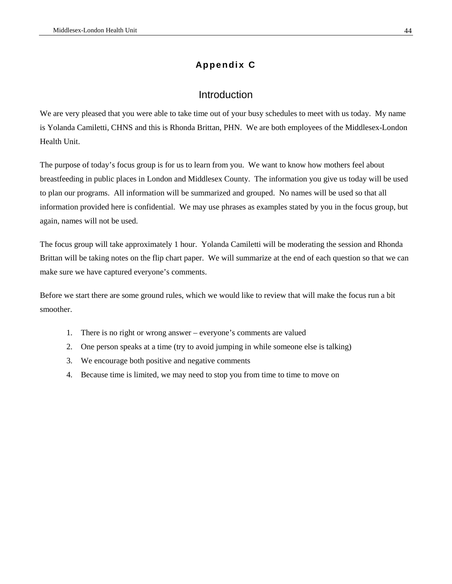## **Appendix C**

## Introduction

We are very pleased that you were able to take time out of your busy schedules to meet with us today. My name is Yolanda Camiletti, CHNS and this is Rhonda Brittan, PHN. We are both employees of the Middlesex-London Health Unit.

The purpose of today's focus group is for us to learn from you. We want to know how mothers feel about breastfeeding in public places in London and Middlesex County. The information you give us today will be used to plan our programs. All information will be summarized and grouped. No names will be used so that all information provided here is confidential. We may use phrases as examples stated by you in the focus group, but again, names will not be used.

The focus group will take approximately 1 hour. Yolanda Camiletti will be moderating the session and Rhonda Brittan will be taking notes on the flip chart paper. We will summarize at the end of each question so that we can make sure we have captured everyone's comments.

Before we start there are some ground rules, which we would like to review that will make the focus run a bit smoother.

- 1. There is no right or wrong answer everyone's comments are valued
- 2. One person speaks at a time (try to avoid jumping in while someone else is talking)
- 3. We encourage both positive and negative comments
- 4. Because time is limited, we may need to stop you from time to time to move on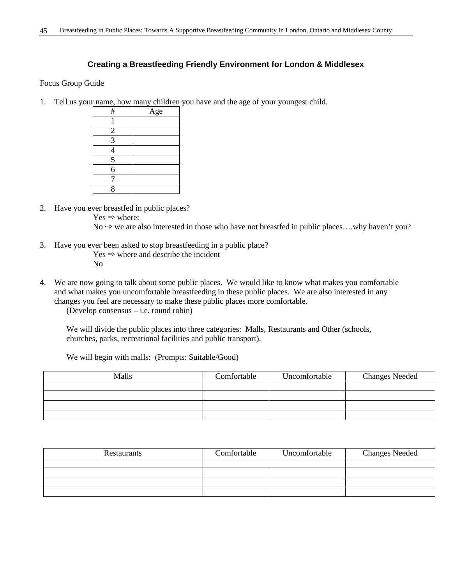### **Creating a Breastfeeding Friendly Environment for London & Middlesex**

#### Focus Group Guide

1. Tell us your name, how many children you have and the age of your youngest child.

| #                        | Age |
|--------------------------|-----|
|                          |     |
| $\overline{2}$           |     |
| $\overline{3}$           |     |
| $\overline{\mathcal{L}}$ |     |
| $\overline{5}$           |     |
| 6                        |     |
|                          |     |
| 8                        |     |

2. Have you ever breastfed in public places?

 $Yes \Rightarrow where:$ 

 $No \Rightarrow we$  are also interested in those who have not breastfed in public places...why haven't you?

- 3. Have you ever been asked to stop breastfeeding in a public place?
	- $Yes \Rightarrow where and describe the incident$

No

4. We are now going to talk about some public places. We would like to know what makes you comfortable and what makes you uncomfortable breastfeeding in these public places. We are also interested in any changes you feel are necessary to make these public places more comfortable. (Develop consensus – i.e. round robin)

We will divide the public places into three categories: Malls, Restaurants and Other (schools, churches, parks, recreational facilities and public transport).

| Malls | Comfortable | Uncomfortable | <b>Changes Needed</b> |
|-------|-------------|---------------|-----------------------|
|       |             |               |                       |
|       |             |               |                       |
|       |             |               |                       |
|       |             |               |                       |

We will begin with malls: (Prompts: Suitable/Good)

| Restaurants | Comfortable | Uncomfortable | <b>Changes Needed</b> |  |
|-------------|-------------|---------------|-----------------------|--|
|             |             |               |                       |  |
|             |             |               |                       |  |
|             |             |               |                       |  |
|             |             |               |                       |  |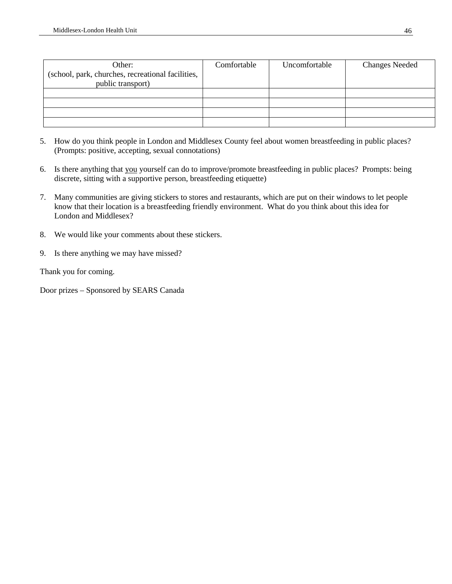| Other:                                            | Comfortable | Uncomfortable | <b>Changes Needed</b> |
|---------------------------------------------------|-------------|---------------|-----------------------|
| (school, park, churches, recreational facilities, |             |               |                       |
| public transport)                                 |             |               |                       |
|                                                   |             |               |                       |
|                                                   |             |               |                       |
|                                                   |             |               |                       |
|                                                   |             |               |                       |

- 5. How do you think people in London and Middlesex County feel about women breastfeeding in public places? (Prompts: positive, accepting, sexual connotations)
- 6. Is there anything that you yourself can do to improve/promote breastfeeding in public places? Prompts: being discrete, sitting with a supportive person, breastfeeding etiquette)
- 7. Many communities are giving stickers to stores and restaurants, which are put on their windows to let people know that their location is a breastfeeding friendly environment. What do you think about this idea for London and Middlesex?
- 8. We would like your comments about these stickers.
- 9. Is there anything we may have missed?

Thank you for coming.

Door prizes – Sponsored by SEARS Canada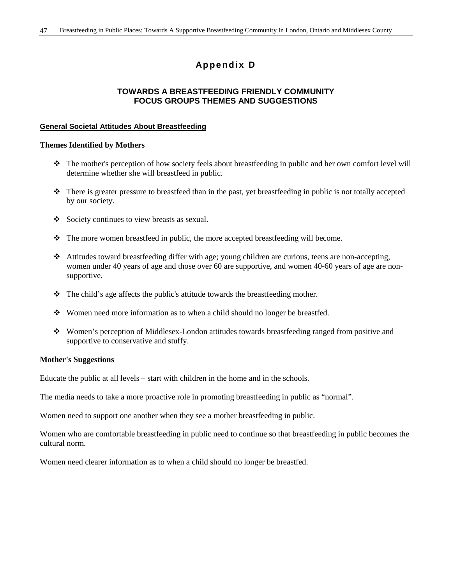## **Appendix D**

### **TOWARDS A BREASTFEEDING FRIENDLY COMMUNITY FOCUS GROUPS THEMES AND SUGGESTIONS**

#### **General Societal Attitudes About Breastfeeding**

#### **Themes Identified by Mothers**

- % The mother's perception of how society feels about breastfeeding in public and her own comfort level will determine whether she will breastfeed in public.
- % There is greater pressure to breastfeed than in the past, yet breastfeeding in public is not totally accepted by our society.
- % Society continues to view breasts as sexual.
- % The more women breastfeed in public, the more accepted breastfeeding will become.
- % Attitudes toward breastfeeding differ with age; young children are curious, teens are non-accepting, women under 40 years of age and those over 60 are supportive, and women 40-60 years of age are nonsupportive.
- $\div$  The child's age affects the public's attitude towards the breastfeeding mother.
- % Women need more information as to when a child should no longer be breastfed.
- % Women's perception of Middlesex-London attitudes towards breastfeeding ranged from positive and supportive to conservative and stuffy.

#### **Mother's Suggestions**

Educate the public at all levels – start with children in the home and in the schools.

The media needs to take a more proactive role in promoting breastfeeding in public as "normal".

Women need to support one another when they see a mother breastfeeding in public.

Women who are comfortable breastfeeding in public need to continue so that breastfeeding in public becomes the cultural norm.

Women need clearer information as to when a child should no longer be breastfed.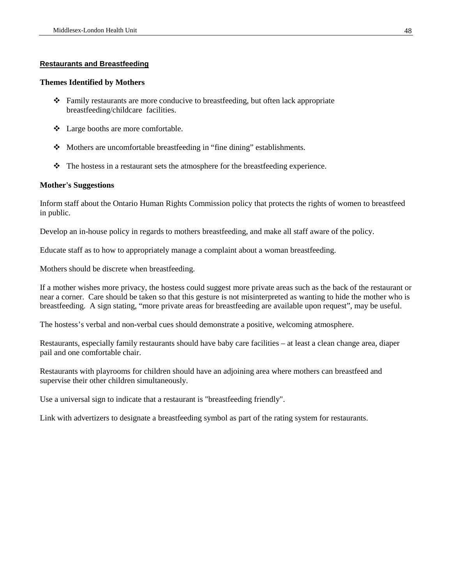#### **Restaurants and Breastfeeding**

#### **Themes Identified by Mothers**

- % Family restaurants are more conducive to breastfeeding, but often lack appropriate breastfeeding/childcare facilities.
- % Large booths are more comfortable.
- % Mothers are uncomfortable breastfeeding in "fine dining" establishments.
- % The hostess in a restaurant sets the atmosphere for the breastfeeding experience.

#### **Mother's Suggestions**

Inform staff about the Ontario Human Rights Commission policy that protects the rights of women to breastfeed in public.

Develop an in-house policy in regards to mothers breastfeeding, and make all staff aware of the policy.

Educate staff as to how to appropriately manage a complaint about a woman breastfeeding.

Mothers should be discrete when breastfeeding.

If a mother wishes more privacy, the hostess could suggest more private areas such as the back of the restaurant or near a corner. Care should be taken so that this gesture is not misinterpreted as wanting to hide the mother who is breastfeeding. A sign stating, "more private areas for breastfeeding are available upon request", may be useful.

The hostess's verbal and non-verbal cues should demonstrate a positive, welcoming atmosphere.

Restaurants, especially family restaurants should have baby care facilities – at least a clean change area, diaper pail and one comfortable chair.

Restaurants with playrooms for children should have an adjoining area where mothers can breastfeed and supervise their other children simultaneously.

Use a universal sign to indicate that a restaurant is "breastfeeding friendly".

Link with advertizers to designate a breastfeeding symbol as part of the rating system for restaurants.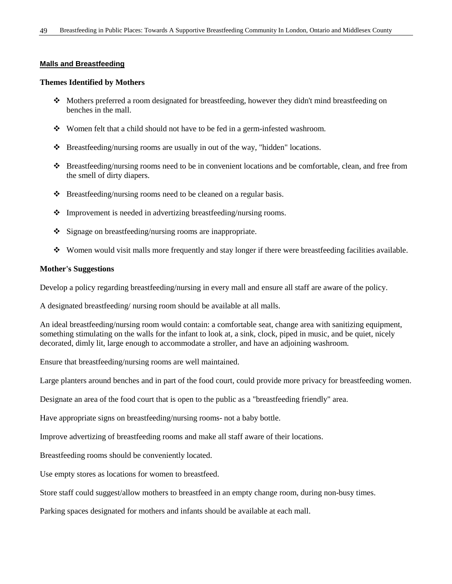#### **Malls and Breastfeeding**

#### **Themes Identified by Mothers**

- % Mothers preferred a room designated for breastfeeding, however they didn't mind breastfeeding on benches in the mall.
- % Women felt that a child should not have to be fed in a germ-infested washroom.
- $\bullet$  Breastfeeding/nursing rooms are usually in out of the way, "hidden" locations.
- % Breastfeeding/nursing rooms need to be in convenient locations and be comfortable, clean, and free from the smell of dirty diapers.
- % Breastfeeding/nursing rooms need to be cleaned on a regular basis.
- % Improvement is needed in advertizing breastfeeding/nursing rooms.
- % Signage on breastfeeding/nursing rooms are inappropriate.
- % Women would visit malls more frequently and stay longer if there were breastfeeding facilities available.

#### **Mother's Suggestions**

Develop a policy regarding breastfeeding/nursing in every mall and ensure all staff are aware of the policy.

A designated breastfeeding/ nursing room should be available at all malls.

An ideal breastfeeding/nursing room would contain: a comfortable seat, change area with sanitizing equipment, something stimulating on the walls for the infant to look at, a sink, clock, piped in music, and be quiet, nicely decorated, dimly lit, large enough to accommodate a stroller, and have an adjoining washroom.

Ensure that breastfeeding/nursing rooms are well maintained.

Large planters around benches and in part of the food court, could provide more privacy for breastfeeding women.

Designate an area of the food court that is open to the public as a "breastfeeding friendly" area.

Have appropriate signs on breastfeeding/nursing rooms- not a baby bottle.

Improve advertizing of breastfeeding rooms and make all staff aware of their locations.

Breastfeeding rooms should be conveniently located.

Use empty stores as locations for women to breastfeed.

Store staff could suggest/allow mothers to breastfeed in an empty change room, during non-busy times.

Parking spaces designated for mothers and infants should be available at each mall.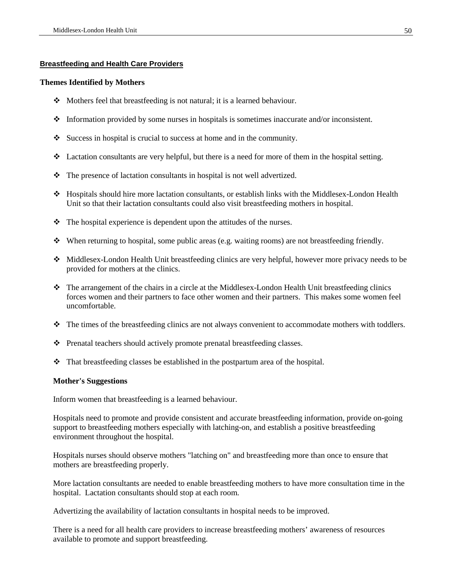#### **Breastfeeding and Health Care Providers**

#### **Themes Identified by Mothers**

- % Mothers feel that breastfeeding is not natural; it is a learned behaviour.
- $\triangleleft$  Information provided by some nurses in hospitals is sometimes inaccurate and/or inconsistent.
- $\bullet$  Success in hospital is crucial to success at home and in the community.
- $\triangleleft$  Lactation consultants are very helpful, but there is a need for more of them in the hospital setting.
- $\bullet$  The presence of lactation consultants in hospital is not well advertized.
- % Hospitals should hire more lactation consultants, or establish links with the Middlesex-London Health Unit so that their lactation consultants could also visit breastfeeding mothers in hospital.
- The hospital experience is dependent upon the attitudes of the nurses.
- When returning to hospital, some public areas (e.g. waiting rooms) are not breastfeeding friendly.
- % Middlesex-London Health Unit breastfeeding clinics are very helpful, however more privacy needs to be provided for mothers at the clinics.
- % The arrangement of the chairs in a circle at the Middlesex-London Health Unit breastfeeding clinics forces women and their partners to face other women and their partners. This makes some women feel uncomfortable.
- % The times of the breastfeeding clinics are not always convenient to accommodate mothers with toddlers.
- % Prenatal teachers should actively promote prenatal breastfeeding classes.
- $\bullet$  That breastfeeding classes be established in the postpartum area of the hospital.

#### **Mother's Suggestions**

Inform women that breastfeeding is a learned behaviour.

Hospitals need to promote and provide consistent and accurate breastfeeding information, provide on-going support to breastfeeding mothers especially with latching-on, and establish a positive breastfeeding environment throughout the hospital.

Hospitals nurses should observe mothers "latching on" and breastfeeding more than once to ensure that mothers are breastfeeding properly.

More lactation consultants are needed to enable breastfeeding mothers to have more consultation time in the hospital. Lactation consultants should stop at each room.

Advertizing the availability of lactation consultants in hospital needs to be improved.

There is a need for all health care providers to increase breastfeeding mothers' awareness of resources available to promote and support breastfeeding.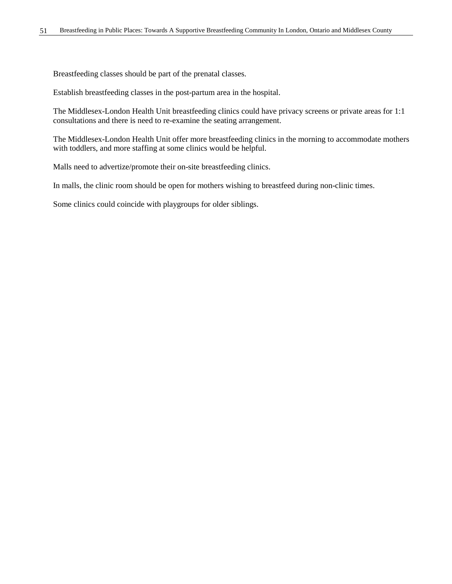Breastfeeding classes should be part of the prenatal classes.

Establish breastfeeding classes in the post-partum area in the hospital.

The Middlesex-London Health Unit breastfeeding clinics could have privacy screens or private areas for 1:1 consultations and there is need to re-examine the seating arrangement.

The Middlesex-London Health Unit offer more breastfeeding clinics in the morning to accommodate mothers with toddlers, and more staffing at some clinics would be helpful.

Malls need to advertize/promote their on-site breastfeeding clinics.

In malls, the clinic room should be open for mothers wishing to breastfeed during non-clinic times.

Some clinics could coincide with playgroups for older siblings.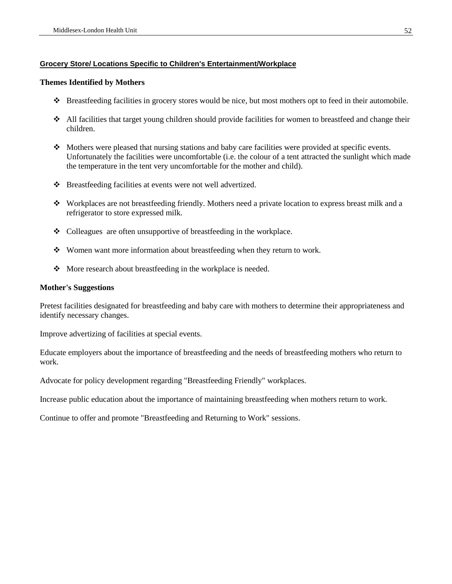#### **Grocery Store/ Locations Specific to Children's Entertainment/Workplace**

#### **Themes Identified by Mothers**

- % Breastfeeding facilities in grocery stores would be nice, but most mothers opt to feed in their automobile.
- % All facilities that target young children should provide facilities for women to breastfeed and change their children.
- % Mothers were pleased that nursing stations and baby care facilities were provided at specific events. Unfortunately the facilities were uncomfortable (i.e. the colour of a tent attracted the sunlight which made the temperature in the tent very uncomfortable for the mother and child).
- % Breastfeeding facilities at events were not well advertized.
- % Workplaces are not breastfeeding friendly. Mothers need a private location to express breast milk and a refrigerator to store expressed milk.
- $\triangleleft$  Colleagues are often unsupportive of breastfeeding in the workplace.
- % Women want more information about breastfeeding when they return to work.
- % More research about breastfeeding in the workplace is needed.

#### **Mother's Suggestions**

Pretest facilities designated for breastfeeding and baby care with mothers to determine their appropriateness and identify necessary changes.

Improve advertizing of facilities at special events.

Educate employers about the importance of breastfeeding and the needs of breastfeeding mothers who return to work.

Advocate for policy development regarding "Breastfeeding Friendly" workplaces.

Increase public education about the importance of maintaining breastfeeding when mothers return to work.

Continue to offer and promote "Breastfeeding and Returning to Work" sessions.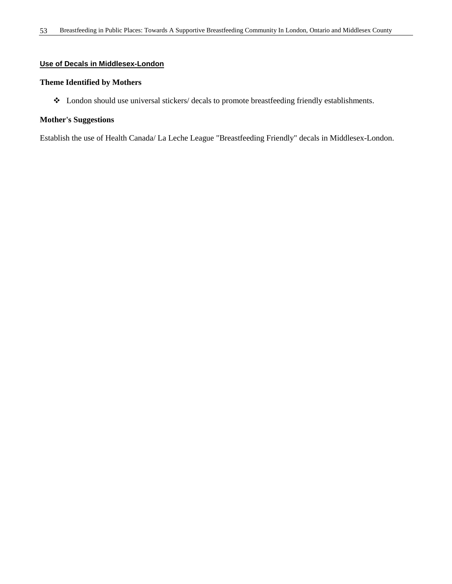#### **Use of Decals in Middlesex-London**

#### **Theme Identified by Mothers**

% London should use universal stickers/ decals to promote breastfeeding friendly establishments.

#### **Mother's Suggestions**

Establish the use of Health Canada/ La Leche League "Breastfeeding Friendly" decals in Middlesex-London.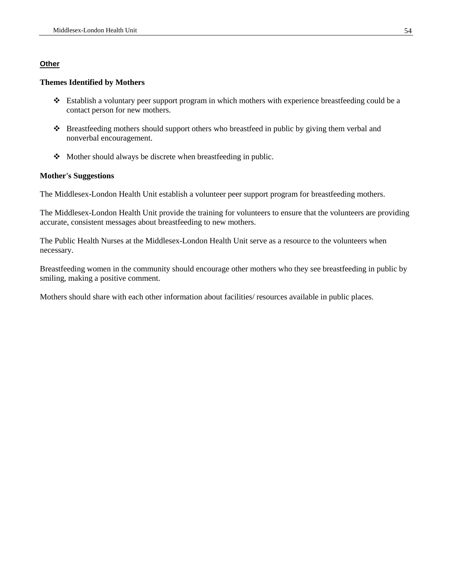#### **Other**

#### **Themes Identified by Mothers**

- % Establish a voluntary peer support program in which mothers with experience breastfeeding could be a contact person for new mothers.
- % Breastfeeding mothers should support others who breastfeed in public by giving them verbal and nonverbal encouragement.
- % Mother should always be discrete when breastfeeding in public.

#### **Mother's Suggestions**

The Middlesex-London Health Unit establish a volunteer peer support program for breastfeeding mothers.

The Middlesex-London Health Unit provide the training for volunteers to ensure that the volunteers are providing accurate, consistent messages about breastfeeding to new mothers.

The Public Health Nurses at the Middlesex-London Health Unit serve as a resource to the volunteers when necessary.

Breastfeeding women in the community should encourage other mothers who they see breastfeeding in public by smiling, making a positive comment.

Mothers should share with each other information about facilities/ resources available in public places.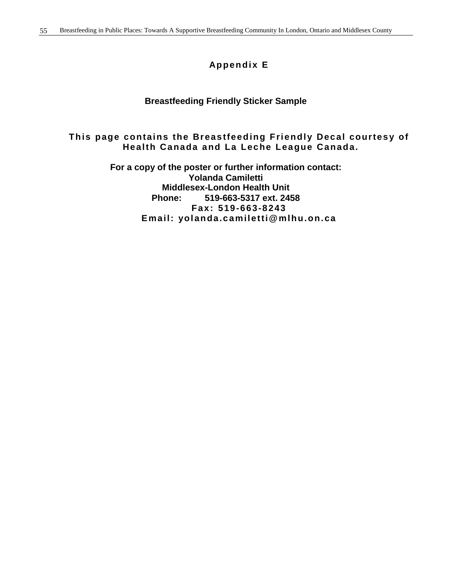## **Appendix E**

### **Breastfeeding Friendly Sticker Sample**

### **This page contains the Breastfeeding Friendly Decal courtesy of Health Canada and La Leche League Canada.**

**For a copy of the poster or further information contact: Yolanda Camiletti Middlesex-London Health Unit Phone: 519-663-5317 ext. 2458 Fax: 519-663-8243 Email: yolanda.camiletti@mlhu.on.ca**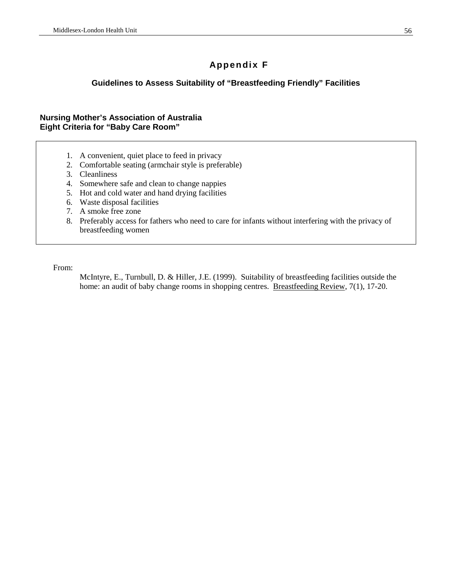## **Appendix F**

### **Guidelines to Assess Suitability of "Breastfeeding Friendly" Facilities**

### **Nursing Mother's Association of Australia Eight Criteria for "Baby Care Room"**

- 1. A convenient, quiet place to feed in privacy
- 2. Comfortable seating (armchair style is preferable)
- 3. Cleanliness
- 4. Somewhere safe and clean to change nappies
- 5. Hot and cold water and hand drying facilities
- 6. Waste disposal facilities
- 7. A smoke free zone
- 8. Preferably access for fathers who need to care for infants without interfering with the privacy of breastfeeding women

From:

McIntyre, E., Turnbull, D. & Hiller, J.E. (1999). Suitability of breastfeeding facilities outside the home: an audit of baby change rooms in shopping centres. Breastfeeding Review, 7(1), 17-20.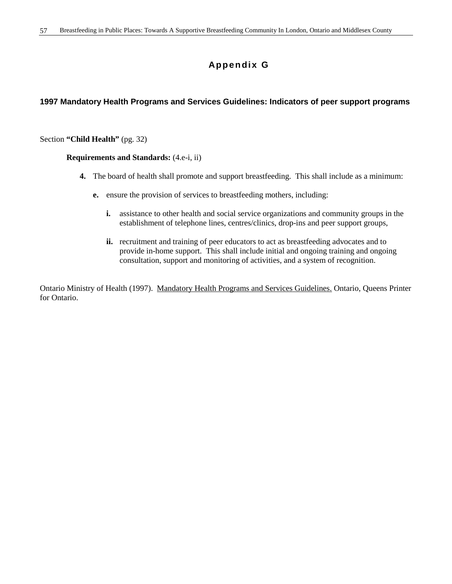## **Appendix G**

### **1997 Mandatory Health Programs and Services Guidelines: Indicators of peer support programs**

Section **"Child Health"** (pg. 32)

#### **Requirements and Standards:** (4.e-i, ii)

- **4.** The board of health shall promote and support breastfeeding. This shall include as a minimum:
	- **e.** ensure the provision of services to breastfeeding mothers, including:
		- **i.** assistance to other health and social service organizations and community groups in the establishment of telephone lines, centres/clinics, drop-ins and peer support groups,
		- **ii.** recruitment and training of peer educators to act as breastfeeding advocates and to provide in-home support. This shall include initial and ongoing training and ongoing consultation, support and monitoring of activities, and a system of recognition.

Ontario Ministry of Health (1997). Mandatory Health Programs and Services Guidelines. Ontario, Queens Printer for Ontario.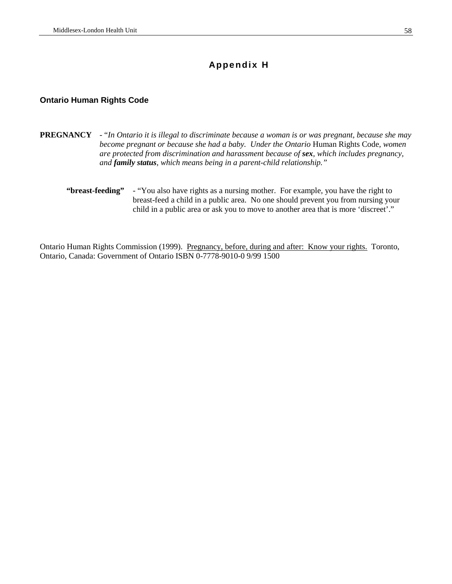## **Appendix H**

#### **Ontario Human Rights Code**

**PREGNANCY** - "*In Ontario it is illegal to discriminate because a woman is or was pregnant, because she may become pregnant or because she had a baby. Under the Ontario* Human Rights Code*, women are protected from discrimination and harassment because of sex, which includes pregnancy, and family status, which means being in a parent-child relationship."*

**"breast-feeding"** - "You also have rights as a nursing mother. For example, you have the right to breast-feed a child in a public area. No one should prevent you from nursing your child in a public area or ask you to move to another area that is more 'discreet'."

Ontario Human Rights Commission (1999). Pregnancy, before, during and after: Know your rights. Toronto, Ontario, Canada: Government of Ontario ISBN 0-7778-9010-0 9/99 1500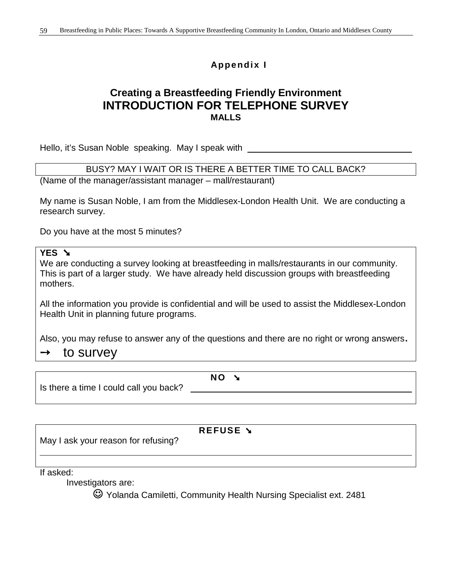## **Appendix I**

# **Creating a Breastfeeding Friendly Environment INTRODUCTION FOR TELEPHONE SURVEY MALLS**

Hello, it's Susan Noble speaking. May I speak with

BUSY? MAY I WAIT OR IS THERE A BETTER TIME TO CALL BACK?

(Name of the manager/assistant manager – mall/restaurant)

My name is Susan Noble, I am from the Middlesex-London Health Unit. We are conducting a research survey.

Do you have at the most 5 minutes?

### **YES** ➘

We are conducting a survey looking at breastfeeding in malls/restaurants in our community. This is part of a larger study. We have already held discussion groups with breastfeeding mothers.

All the information you provide is confidential and will be used to assist the Middlesex-London Health Unit in planning future programs.

Also, you may refuse to answer any of the questions and there are no right or wrong answers.

**NO** ➘

# to survey

Is there a time I could call you back?

**REFUSE** ➘

May I ask your reason for refusing?

If asked:

 $\overline{a}$ 

Investigators are:

☺ Yolanda Camiletti, Community Health Nursing Specialist ext. 2481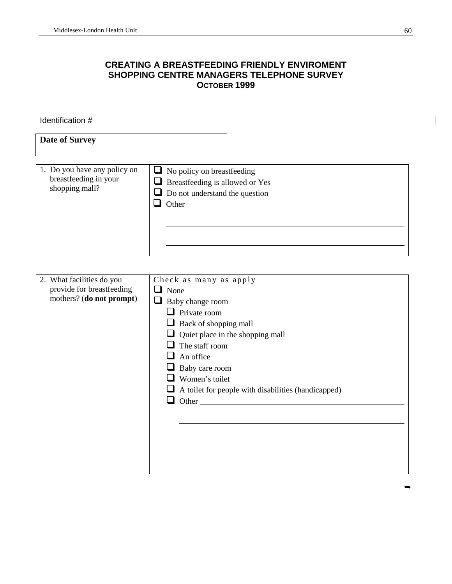### **CREATING A BREASTFEEDING FRIENDLY ENVIROMENT SHOPPING CENTRE MANAGERS TELEPHONE SURVEY OCTOBER 1999**

Identification #

| Date of Survey                                                          |                                                                                                                               |
|-------------------------------------------------------------------------|-------------------------------------------------------------------------------------------------------------------------------|
| 1. Do you have any policy on<br>breastfeeding in your<br>shopping mall? | $\Box$ No policy on breastfeeding<br>$\Box$ Breastfeeding is allowed or Yes<br>$\Box$ Do not understand the question<br>Other |

| 2. What facilities do you | Check as many as apply                              |  |  |  |
|---------------------------|-----------------------------------------------------|--|--|--|
|                           |                                                     |  |  |  |
| provide for breastfeeding | $\Box$ None                                         |  |  |  |
| mothers? (do not prompt)  | Baby change room                                    |  |  |  |
|                           | Private room                                        |  |  |  |
|                           | Back of shopping mall                               |  |  |  |
|                           | Quiet place in the shopping mall                    |  |  |  |
|                           | The staff room                                      |  |  |  |
|                           | An office                                           |  |  |  |
|                           | Baby care room                                      |  |  |  |
|                           | Women's toilet                                      |  |  |  |
|                           | A toilet for people with disabilities (handicapped) |  |  |  |
|                           | Other                                               |  |  |  |
|                           |                                                     |  |  |  |
|                           |                                                     |  |  |  |
|                           |                                                     |  |  |  |
|                           |                                                     |  |  |  |
|                           |                                                     |  |  |  |
|                           |                                                     |  |  |  |
|                           |                                                     |  |  |  |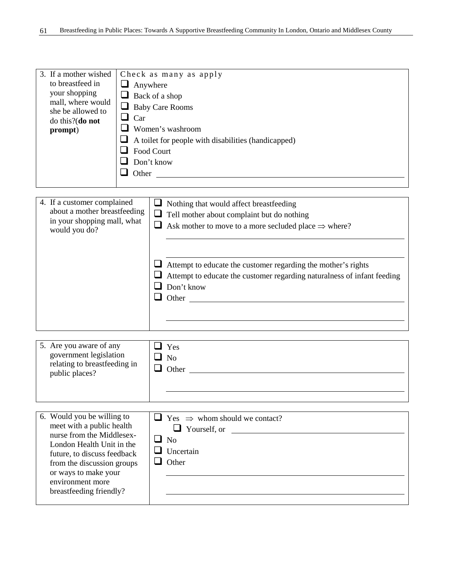| 3. If a mother wished<br>to breastfeed in<br>your shopping<br>mall, where would<br>she be allowed to<br>do this?(do not<br>prompt)                                                                                                                    | Check as many as apply<br>$\Box$ Anywhere<br>$\Box$ Back of a shop<br>$\Box$ Baby Care Rooms<br>$\Box$ Car<br>$\Box$ Women's washroom<br>$\Box$ A toilet for people with disabilities (handicapped)<br>Food Court<br>Don't know<br>Other                                                                                                                                                                                                                                                                                                                                           |  |  |  |
|-------------------------------------------------------------------------------------------------------------------------------------------------------------------------------------------------------------------------------------------------------|------------------------------------------------------------------------------------------------------------------------------------------------------------------------------------------------------------------------------------------------------------------------------------------------------------------------------------------------------------------------------------------------------------------------------------------------------------------------------------------------------------------------------------------------------------------------------------|--|--|--|
| 4. If a customer complained<br>about a mother breastfeeding<br>in your shopping mall, what<br>would you do?                                                                                                                                           | $\Box$ Nothing that would affect breastfeeding<br>$\Box$ Tell mother about complaint but do nothing<br>Ask mother to move to a more secluded place $\Rightarrow$ where?<br>$\Box$<br>Attempt to educate the customer regarding the mother's rights<br>Attempt to educate the customer regarding naturalness of infant feeding<br>Don't know<br>ப<br>Other contract to the contract of the contract of the contract of the contract of the contract of the contract of the contract of the contract of the contract of the contract of the contract of the contract of the contract |  |  |  |
| 5. Are you aware of any<br>government legislation<br>relating to breastfeeding in<br>public places?                                                                                                                                                   | Yes<br><b>No</b><br>Other                                                                                                                                                                                                                                                                                                                                                                                                                                                                                                                                                          |  |  |  |
| 6. Would you be willing to<br>meet with a public health<br>nurse from the Middlesex-<br>London Health Unit in the<br>future, to discuss feedback<br>from the discussion groups<br>or ways to make your<br>environment more<br>breastfeeding friendly? | $\Box$ Yes $\Rightarrow$ whom should we contact?<br>$\Box$ Yourself, or<br>$\Box$ No<br>ப<br>Uncertain<br>ப<br>Other                                                                                                                                                                                                                                                                                                                                                                                                                                                               |  |  |  |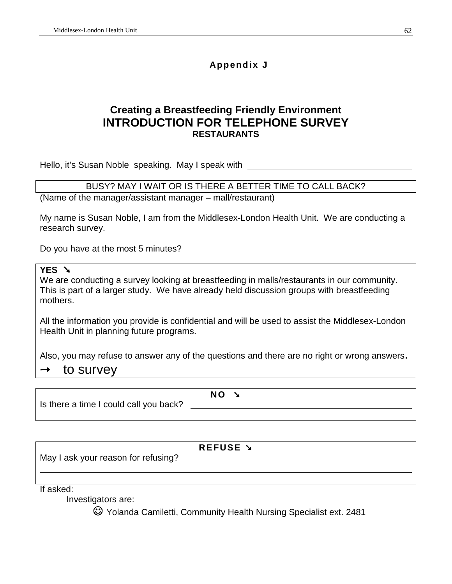## **Appendix J**

# **Creating a Breastfeeding Friendly Environment INTRODUCTION FOR TELEPHONE SURVEY RESTAURANTS**

Hello, it's Susan Noble speaking. May I speak with

### BUSY? MAY I WAIT OR IS THERE A BETTER TIME TO CALL BACK?

(Name of the manager/assistant manager – mall/restaurant)

My name is Susan Noble, I am from the Middlesex-London Health Unit. We are conducting a research survey.

Do you have at the most 5 minutes?

### **YES** ➘

We are conducting a survey looking at breastfeeding in malls/restaurants in our community. This is part of a larger study. We have already held discussion groups with breastfeeding mothers.

All the information you provide is confidential and will be used to assist the Middlesex-London Health Unit in planning future programs.

Also, you may refuse to answer any of the questions and there are no right or wrong answers.

# to survey

**NO** ➘

Is there a time I could call you back?

**REFUSE** ➘

May I ask your reason for refusing?

If asked:

 $\overline{a}$ 

Investigators are:

☺ Yolanda Camiletti, Community Health Nursing Specialist ext. 2481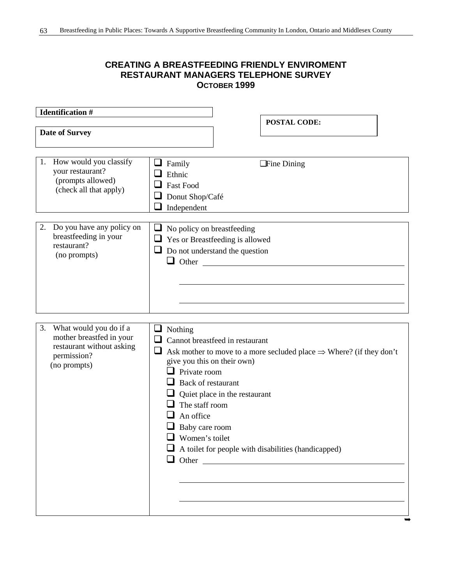### **CREATING A BREASTFEEDING FRIENDLY ENVIROMENT RESTAURANT MANAGERS TELEPHONE SURVEY OCTOBER 1999**

| <b>Identification #</b>                                                                                              |                                                                                                                                                            |                                                                                                                                                                                                                     |  |
|----------------------------------------------------------------------------------------------------------------------|------------------------------------------------------------------------------------------------------------------------------------------------------------|---------------------------------------------------------------------------------------------------------------------------------------------------------------------------------------------------------------------|--|
| Date of Survey                                                                                                       |                                                                                                                                                            | <b>POSTAL CODE:</b>                                                                                                                                                                                                 |  |
| 1. How would you classify<br>your restaurant?<br>(prompts allowed)<br>(check all that apply)                         | $\Box$ Family<br>Ethnic<br><b>Fast Food</b><br>$\Box$ Donut Shop/Café<br>Independent<br>⊔                                                                  | $\Box$ Fine Dining                                                                                                                                                                                                  |  |
| 2. Do you have any policy on<br>breastfeeding in your<br>restaurant?<br>(no prompts)                                 | No policy on breastfeeding<br>⊔<br>ப                                                                                                                       | Yes or Breastfeeding is allowed<br>Do not understand the question<br>Other                                                                                                                                          |  |
| What would you do if a<br>3.<br>mother breastfed in your<br>restaurant without asking<br>permission?<br>(no prompts) | ⊔<br>Nothing<br>give you this on their own)<br>Private room<br>Back of restaurant<br>The staff room<br>An office<br>Baby care room<br>Women's toilet<br>⊔. | Cannot breastfeed in restaurant<br>Ask mother to move to a more secluded place $\Rightarrow$ Where? (if they don't<br>Quiet place in the restaurant<br>A toilet for people with disabilities (handicapped)<br>Other |  |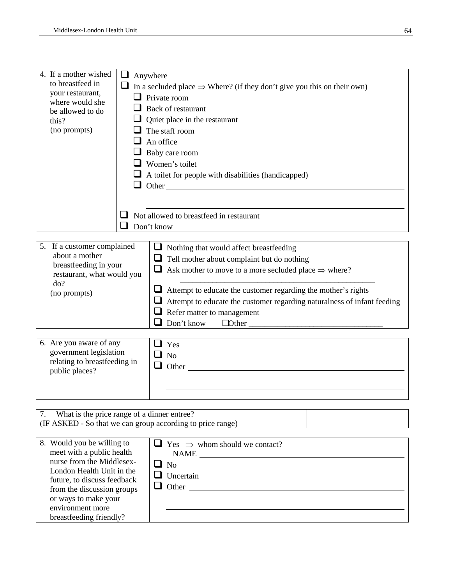| 4. If a mother wished<br>to breastfeed in<br>your restaurant,<br>where would she<br>be allowed to do<br>this?<br>(no prompts)                                                                                                                         | $\Box$<br>Anywhere<br>In a secluded place $\Rightarrow$ Where? (if they don't give you this on their own)<br>$\Box$ Private room<br><b>Back of restaurant</b><br>Quiet place in the restaurant<br>The staff room<br>An office<br>Baby care room<br>$\Box$ Women's toilet<br>$\Box$ A toilet for people with disabilities (handicapped)<br>$\Box$ Other<br>$\Box$ Not allowed to breastfeed in restaurant<br>Don't know |                                                                                                                                                                                                                                                                                                                                                                                                    |  |  |  |
|-------------------------------------------------------------------------------------------------------------------------------------------------------------------------------------------------------------------------------------------------------|------------------------------------------------------------------------------------------------------------------------------------------------------------------------------------------------------------------------------------------------------------------------------------------------------------------------------------------------------------------------------------------------------------------------|----------------------------------------------------------------------------------------------------------------------------------------------------------------------------------------------------------------------------------------------------------------------------------------------------------------------------------------------------------------------------------------------------|--|--|--|
|                                                                                                                                                                                                                                                       |                                                                                                                                                                                                                                                                                                                                                                                                                        |                                                                                                                                                                                                                                                                                                                                                                                                    |  |  |  |
| 5. If a customer complained<br>about a mother<br>breastfeeding in your<br>restaurant, what would you<br>do?<br>(no prompts)                                                                                                                           |                                                                                                                                                                                                                                                                                                                                                                                                                        | Nothing that would affect breastfeeding<br>⊔<br>Tell mother about complaint but do nothing<br>$\Box$ Ask mother to move to a more secluded place $\Rightarrow$ where?<br>Attempt to educate the customer regarding the mother's rights<br>$\Box$ Attempt to educate the customer regarding naturalness of infant feeding<br>$\Box$ Refer matter to management<br>Don't know<br>- 1<br>$\Box$ Other |  |  |  |
|                                                                                                                                                                                                                                                       |                                                                                                                                                                                                                                                                                                                                                                                                                        |                                                                                                                                                                                                                                                                                                                                                                                                    |  |  |  |
| 6. Are you aware of any<br>government legislation<br>relating to breastfeeding in<br>public places?                                                                                                                                                   |                                                                                                                                                                                                                                                                                                                                                                                                                        | $\Box$ Yes<br>$\Box$ No<br>ப<br>Other                                                                                                                                                                                                                                                                                                                                                              |  |  |  |
|                                                                                                                                                                                                                                                       |                                                                                                                                                                                                                                                                                                                                                                                                                        |                                                                                                                                                                                                                                                                                                                                                                                                    |  |  |  |
| What is the price range of a dinner entree?<br>7.                                                                                                                                                                                                     |                                                                                                                                                                                                                                                                                                                                                                                                                        | (IF ASKED - So that we can group according to price range)                                                                                                                                                                                                                                                                                                                                         |  |  |  |
| 8. Would you be willing to<br>meet with a public health<br>nurse from the Middlesex-<br>London Health Unit in the<br>future, to discuss feedback<br>from the discussion groups<br>or ways to make your<br>environment more<br>breastfeeding friendly? |                                                                                                                                                                                                                                                                                                                                                                                                                        | $\Box$ Yes $\Rightarrow$ whom should we contact?<br>$\begin{tabular}{c} \bf{NAME} \end{tabular}$<br>$\Box$ No<br>$\Box$ Uncertain                                                                                                                                                                                                                                                                  |  |  |  |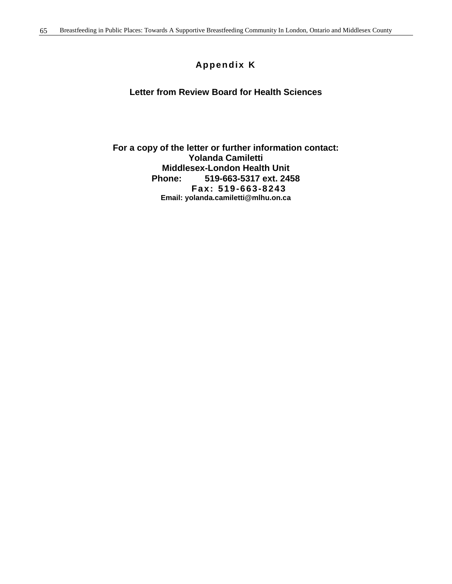# **Appendix K**

### **Letter from Review Board for Health Sciences**

### **For a copy of the letter or further information contact: Yolanda Camiletti Middlesex-London Health Unit Phone: 519-663-5317 ext. 2458 Fax: 519-663-8243 Email: yolanda.camiletti@mlhu.on.ca**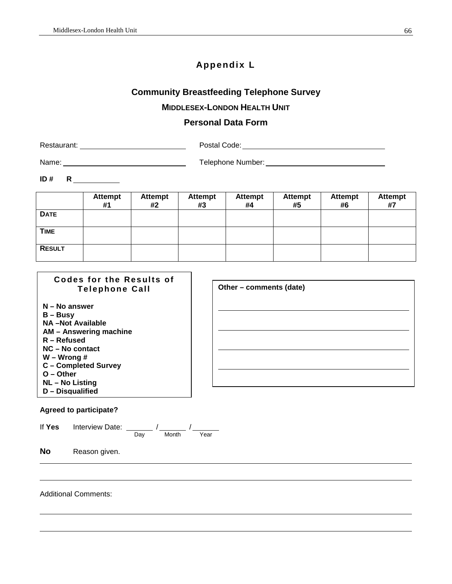# **Appendix L**

# **Community Breastfeeding Telephone Survey**

## **MIDDLESEX-LONDON HEALTH UNIT**

## **Personal Data Form**

| Restaurant: | Postal Code: |
|-------------|--------------|
|             |              |

| Name: | Telephone Number: |  |
|-------|-------------------|--|

**ID # R**

|               | Attempt<br>#1 | Attempt<br>#2 | Attempt<br>#3 | <b>Attempt</b><br>#4 | Attempt<br>#5 | Attempt<br>#6 | <b>Attempt</b><br>#7 |
|---------------|---------------|---------------|---------------|----------------------|---------------|---------------|----------------------|
| <b>DATE</b>   |               |               |               |                      |               |               |                      |
| <b>TIME</b>   |               |               |               |                      |               |               |                      |
| <b>RESULT</b> |               |               |               |                      |               |               |                      |

| <b>Codes for the Results of</b><br><b>Telephone Call</b>                                                                                                                                                                        | Other - comments (date) |  |  |
|---------------------------------------------------------------------------------------------------------------------------------------------------------------------------------------------------------------------------------|-------------------------|--|--|
| $N - No$ answer<br>$B - B$ usy<br><b>NA-Not Available</b><br>AM - Answering machine<br>$R - Refused$<br>$NC - No$ contact<br>$W - W$ rong#<br><b>C</b> - Completed Survey<br>$O - Other$<br>NL - No Listing<br>D - Disqualified |                         |  |  |

#### **Agreed to participate?**

If Yes Interview Date:  $\frac{1}{2}$  / Day Month Year

**No** Reason given.

Additional Comments:

l

l

l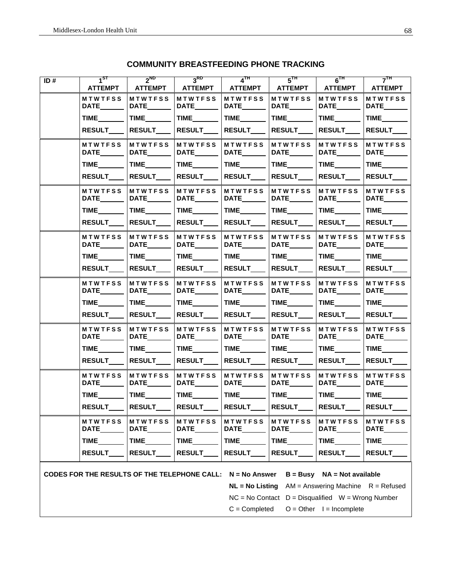| ID#                                                                                    | $1^{57}$                              | $\frac{1}{2}$ <sup>ND</sup>                           | 3 <sup>RD</sup>                | $4$ <sup>TH</sup>                    | $5$ <sup>TH</sup>                          | $6^{TH}$                              | $7^{\rm{TH}}$                 |
|----------------------------------------------------------------------------------------|---------------------------------------|-------------------------------------------------------|--------------------------------|--------------------------------------|--------------------------------------------|---------------------------------------|-------------------------------|
|                                                                                        | ATTEMPT                               |                                                       | ATTEMPT   ATTEMPT   ATTEMPT    |                                      | <b>ATTEMPT</b>                             | <b>ATTEMPT</b>                        | <b>ATTEMPT</b>                |
|                                                                                        | <b>MTWTFSS</b><br>DATE______          | <b>MTWTFSS</b><br>DATE_____                           | <b>MTWTFSS</b><br>DATE_______  | <b>MTWTFSS</b><br><b>DATE_______</b> | <b>MTWTFSS</b><br><b>DATE_______</b>       | <b>MTWTFSS</b><br><b>DATE________</b> | <b>MTWTFSS</b><br>DATE______  |
|                                                                                        | <b>TIME</b>                           | <b>TIME</b>                                           | <b>TIME</b>                    | TIME                                 | TIME                                       | <b>TIME</b>                           | <b>TIME</b>                   |
|                                                                                        |                                       | RESULT_____ RESULT_____ RESULT____                    |                                |                                      | $ $ RESULT____ $ $ RESULT____              | RESULT____ RESULT___                  |                               |
|                                                                                        | <b>MTWTFSS</b><br>DATE                | MTWTFSS <sup>1</sup><br><b>DATE_______</b>            | <b>MTWTFSS</b><br>DATE________ | <b>MTWTFSS</b><br><b>DATE_______</b> | <b>MTWTFSS</b><br><b>DATE</b>              | <b>MTWTFSS</b><br><b>DATE_______</b>  | <b>MTWTFSS</b><br>DATE_______ |
|                                                                                        | <b>TIME</b>                           | TIME TIME                                             |                                | TIME______                           | <b>TIME</b>                                | TIME_______                           |                               |
|                                                                                        |                                       | RESULT RESULT RESULT                                  |                                | <b>RESULT</b>                        | <b>RESULT</b>                              | <b>RESULT</b>                         | RESULT___                     |
|                                                                                        | <b>MTWTFSS</b><br>DATE                | <b>MTWTFSS</b><br><b>DATE________</b>                 | <b>MTWTFSS</b><br>DATE________ | <b>MTWTFSS</b><br><b>DATE_______</b> | <b>MTWTFSS</b><br><b>DATE________</b>      | <b>MTWTFSS</b><br><b>DATE________</b> | <b>MTWTFSS</b><br>DATE_______ |
|                                                                                        | <b>TIME</b>                           | TIME <sub>________</sub>  TIME______                  |                                | <b>TIME</b> _______                  | <b>TIME</b>                                | TIME______                            | <b>TIME</b>                   |
|                                                                                        |                                       | RESULT____ RESULT____ RESULT____ RESULT____           |                                |                                      | RESULT___                                  | RESULT___                             | RESULT_                       |
|                                                                                        | <b>MTWTFSS</b><br>DATE                | MTWTFSS <sup>1</sup><br><b>DATE</b>                   | MTWTFSS MTWTFSS<br>DATE_______ | <b>DATE________</b>                  | <b>MTWTFSS</b><br><b>DATE________</b>      | <b>MTWTFSS</b><br>DATE                | <b>MTWTFSS</b><br><b>DATE</b> |
|                                                                                        |                                       | TIME TIME TIME                                        |                                | TIME <sub>________</sub>             | TIME_______                                | <b>TIME</b>                           | TIME                          |
|                                                                                        | <b>RESULT</b>                         | RESULT                                                | <b>RESULT</b>                  | <b>RESULT</b>                        | RESULT___                                  | <b>RESULT</b>                         | RESULT_                       |
|                                                                                        | <b>MTWTFSS</b><br><b>DATE________</b> | <b>MTWTFSS</b><br><b>DATE</b>                         | <b>MTWTFSS</b><br>DATE______   | <b>MTWTFSS</b><br><b>DATE_______</b> | <b>MTWTFSS</b><br>DATE_______              | <b>MTWTFSS</b><br>DATE_______         | <b>MTWTFSS</b><br>DATE______  |
|                                                                                        | <b>TIME</b>                           | $\boxed{\mathsf{TIME}\_\_\_\_\_\ $ TIME $\_\_\_\_\_\$ |                                | TIME <sub>________</sub>             | <b>TIME</b>                                | <b>TIME</b>                           | TIME                          |
|                                                                                        |                                       | RESULT RESULT RESULT RESULT                           |                                |                                      | RESULT___                                  | <b>RESULT</b>                         | <b>RESULT____</b>             |
|                                                                                        | <b>MTWTFSS</b><br>DATE                | <b>MTWTFSS</b><br>DATA                                | <b>MTWTFSS</b><br>DATE         | <b>MTWTFSS</b><br><b>DATE</b>        | <b>MTWTFSS</b><br>DATE                     | <b>MTWTFSS</b><br><b>DATE________</b> | <b>MTWTFSS</b><br>DATE        |
|                                                                                        | <b>TIME</b>                           |                                                       | <b>TIME</b>                    | <b>TIME</b>                          | <b>TIME</b>                                | $TIME$                                | <b>TIME</b>                   |
|                                                                                        |                                       | RESULT   RESULT                                       | RESULT___                      | $ $ RESULT $\rule{1em}{0.15mm}$      | RESULT__                                   | RESULT___                             | RESULT___                     |
|                                                                                        | <b>MTWTFSS</b><br>DATE_____           | MTWTFSS <sup>1</sup><br>DATE                          | <b>MTWTFSS</b><br><b>DATE</b>  | <b>MTWTFSS</b><br><b>DATE_______</b> | <b>MTWTFSS</b><br><b>DATE</b>              | <b>MTWTFSS</b><br><b>DATE</b>         | <b>MTWTFSS</b><br><b>DATE</b> |
|                                                                                        |                                       | $TIME$ $TIME$ $TIME$ $TIME$                           |                                |                                      | <b>TIME</b> _______                        | <b>TIME</b>                           | TIME_______                   |
|                                                                                        | <b>RESULT</b>                         | <b>RESULT</b>                                         | <b>RESULT</b>                  | <b>RESULT</b>                        | <b>RESULT</b>                              | <b>RESULT</b>                         | <b>RESULT</b>                 |
|                                                                                        | <b>MTWTFSS</b><br><b>DATE</b>         | <b>MTWTFSS</b><br>DATE_______                         | <b>MTWTFSS</b><br>DATE______   | <b>MTWTFSS</b><br>DATE______         | <b>MTWTFSS</b><br>$\mathsf{DATE}\_\_\_\_\$ | <b>MTWTFSS</b><br>DATE______          | <b>MTWTFSS</b><br>DATE______  |
|                                                                                        | <b>TIME</b>                           | <b>TIME</b>                                           | <b>TIME</b>                    | <b>TIME</b>                          | <b>TIME</b>                                | <b>TIME</b>                           | <b>TIME</b>                   |
|                                                                                        | <b>RESULT</b>                         | <b>RESULT</b>                                         | RESULT                         | <b>RESULT</b>                        | <b>RESULT</b>                              | <b>RESULT</b>                         | <b>RESULT</b>                 |
| CODES FOR THE RESULTS OF THE TELEPHONE CALL: N = No Answer B = Busy NA = Not available |                                       |                                                       |                                |                                      |                                            |                                       |                               |

**NL = No Listing** AM = Answering Machine R = Refused  $NC = No$  Contact  $D = Disqualified$   $W = Wrong$  Number

 $C =$  Completed  $O =$  Other  $I =$  Incomplete

## **COMMUNITY BREASTFEEDING PHONE TRACKING**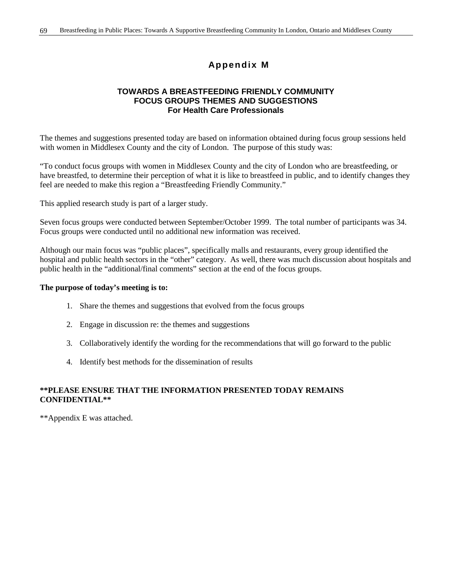# **Appendix M**

### **TOWARDS A BREASTFEEDING FRIENDLY COMMUNITY FOCUS GROUPS THEMES AND SUGGESTIONS For Health Care Professionals**

The themes and suggestions presented today are based on information obtained during focus group sessions held with women in Middlesex County and the city of London. The purpose of this study was:

"To conduct focus groups with women in Middlesex County and the city of London who are breastfeeding, or have breastfed, to determine their perception of what it is like to breastfeed in public, and to identify changes they feel are needed to make this region a "Breastfeeding Friendly Community."

This applied research study is part of a larger study.

Seven focus groups were conducted between September/October 1999. The total number of participants was 34. Focus groups were conducted until no additional new information was received.

Although our main focus was "public places", specifically malls and restaurants, every group identified the hospital and public health sectors in the "other" category. As well, there was much discussion about hospitals and public health in the "additional/final comments" section at the end of the focus groups.

#### **The purpose of today's meeting is to:**

- 1. Share the themes and suggestions that evolved from the focus groups
- 2. Engage in discussion re: the themes and suggestions
- 3. Collaboratively identify the wording for the recommendations that will go forward to the public
- 4. Identify best methods for the dissemination of results

### **\*\*PLEASE ENSURE THAT THE INFORMATION PRESENTED TODAY REMAINS CONFIDENTIAL\*\***

\*\*Appendix E was attached.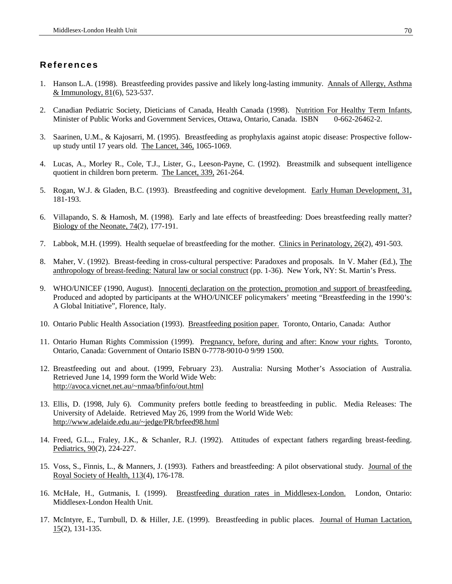### **References**

- 1. Hanson L.A. (1998). Breastfeeding provides passive and likely long-lasting immunity. Annals of Allergy, Asthma & Immunology, 81(6), 523-537.
- 2. Canadian Pediatric Society, Dieticians of Canada, Health Canada (1998). Nutrition For Healthy Term Infants, Minister of Public Works and Government Services, Ottawa, Ontario, Canada. ISBN 0-662-26462-2.
- 3. Saarinen, U.M., & Kajosarri, M. (1995). Breastfeeding as prophylaxis against atopic disease: Prospective followup study until 17 years old. The Lancet, 346, 1065-1069.
- 4. Lucas, A., Morley R., Cole, T.J., Lister, G., Leeson-Payne, C. (1992). Breastmilk and subsequent intelligence quotient in children born preterm. The Lancet, 339, 261-264.
- 5. Rogan, W.J. & Gladen, B.C. (1993). Breastfeeding and cognitive development. Early Human Development, 31, 181-193.
- 6. Villapando, S. & Hamosh, M. (1998). Early and late effects of breastfeeding: Does breastfeeding really matter? Biology of the Neonate, 74(2), 177-191.
- 7. Labbok, M.H. (1999). Health sequelae of breastfeeding for the mother. Clinics in Perinatology, 26(2), 491-503.
- 8. Maher, V. (1992). Breast-feeding in cross-cultural perspective: Paradoxes and proposals. In V. Maher (Ed.), The anthropology of breast-feeding: Natural law or social construct (pp. 1-36). New York, NY: St. Martin's Press.
- 9. WHO/UNICEF (1990, August). Innocenti declaration on the protection, promotion and support of breastfeeding. Produced and adopted by participants at the WHO/UNICEF policymakers' meeting "Breastfeeding in the 1990's: A Global Initiative", Florence, Italy.
- 10. Ontario Public Health Association (1993). Breastfeeding position paper. Toronto, Ontario, Canada: Author
- 11. Ontario Human Rights Commission (1999). Pregnancy, before, during and after: Know your rights. Toronto, Ontario, Canada: Government of Ontario ISBN 0-7778-9010-0 9/99 1500.
- 12. Breastfeeding out and about. (1999, February 23). Australia: Nursing Mother's Association of Australia. Retrieved June 14, 1999 form the World Wide Web: http://avoca.vicnet.net.au/~nmaa/bfinfo/out.html
- 13. Ellis, D. (1998, July 6). Community prefers bottle feeding to breastfeeding in public. Media Releases: The University of Adelaide. Retrieved May 26, 1999 from the World Wide Web: http://www.adelaide.edu.au/~jedge/PR/brfeed98.html
- 14. Freed, G.L.., Fraley, J.K., & Schanler, R.J. (1992). Attitudes of expectant fathers regarding breast-feeding. Pediatrics, 90(2), 224-227.
- 15. Voss, S., Finnis, L., & Manners, J. (1993). Fathers and breastfeeding: A pilot observational study. Journal of the Royal Society of Health, 113(4), 176-178.
- 16. McHale, H., Gutmanis, I. (1999). Breastfeeding duration rates in Middlesex-London. London, Ontario: Middlesex-London Health Unit.
- 17. McIntyre, E., Turnbull, D. & Hiller, J.E. (1999). Breastfeeding in public places. Journal of Human Lactation, 15(2), 131-135.